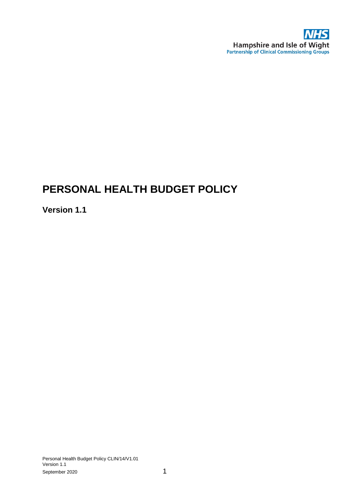

# **PERSONAL HEALTH BUDGET POLICY**

# **Version 1.1**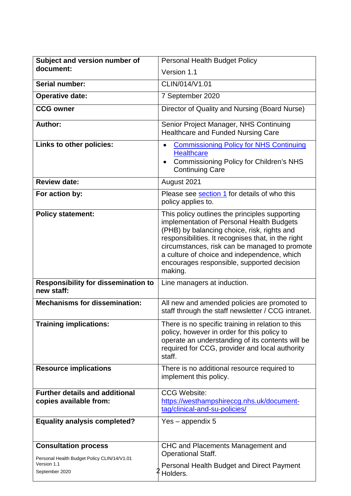| Subject and version number of                                                                               | <b>Personal Health Budget Policy</b>                                                                                                                                                                                                                                                                                                                      |
|-------------------------------------------------------------------------------------------------------------|-----------------------------------------------------------------------------------------------------------------------------------------------------------------------------------------------------------------------------------------------------------------------------------------------------------------------------------------------------------|
| document:                                                                                                   | Version 1.1                                                                                                                                                                                                                                                                                                                                               |
| Serial number:                                                                                              | CLIN/014/V1.01                                                                                                                                                                                                                                                                                                                                            |
| <b>Operative date:</b>                                                                                      | 7 September 2020                                                                                                                                                                                                                                                                                                                                          |
| <b>CCG owner</b>                                                                                            | Director of Quality and Nursing (Board Nurse)                                                                                                                                                                                                                                                                                                             |
| <b>Author:</b>                                                                                              | Senior Project Manager, NHS Continuing<br>Healthcare and Funded Nursing Care                                                                                                                                                                                                                                                                              |
| Links to other policies:                                                                                    | <b>Commissioning Policy for NHS Continuing</b><br><b>Healthcare</b><br><b>Commissioning Policy for Children's NHS</b><br>$\bullet$<br><b>Continuing Care</b>                                                                                                                                                                                              |
| <b>Review date:</b>                                                                                         | August 2021                                                                                                                                                                                                                                                                                                                                               |
| For action by:                                                                                              | Please see section 1 for details of who this<br>policy applies to.                                                                                                                                                                                                                                                                                        |
| <b>Policy statement:</b>                                                                                    | This policy outlines the principles supporting<br>implementation of Personal Health Budgets<br>(PHB) by balancing choice, risk, rights and<br>responsibilities. It recognises that, in the right<br>circumstances, risk can be managed to promote<br>a culture of choice and independence, which<br>encourages responsible, supported decision<br>making. |
| <b>Responsibility for dissemination to</b><br>new staff:                                                    | Line managers at induction.                                                                                                                                                                                                                                                                                                                               |
| <b>Mechanisms for dissemination:</b>                                                                        | All new and amended policies are promoted to<br>staff through the staff newsletter / CCG intranet.                                                                                                                                                                                                                                                        |
| <b>Training implications:</b>                                                                               | There is no specific training in relation to this<br>policy, however in order for this policy to<br>operate an understanding of its contents will be<br>required for CCG, provider and local authority<br>staff.                                                                                                                                          |
| <b>Resource implications</b>                                                                                | There is no additional resource required to<br>implement this policy.                                                                                                                                                                                                                                                                                     |
| <b>Further details and additional</b><br>copies available from:                                             | <b>CCG Website:</b><br>https://westhampshireccg.nhs.uk/document-<br>tag/clinical-and-su-policies/                                                                                                                                                                                                                                                         |
| <b>Equality analysis completed?</b>                                                                         | $Yes$ – appendix 5                                                                                                                                                                                                                                                                                                                                        |
| <b>Consultation process</b><br>Personal Health Budget Policy CLIN/14/V1.01<br>Version 1.1<br>September 2020 | CHC and Placements Management and<br><b>Operational Staff.</b><br>Personal Health Budget and Direct Payment<br>Holders.                                                                                                                                                                                                                                   |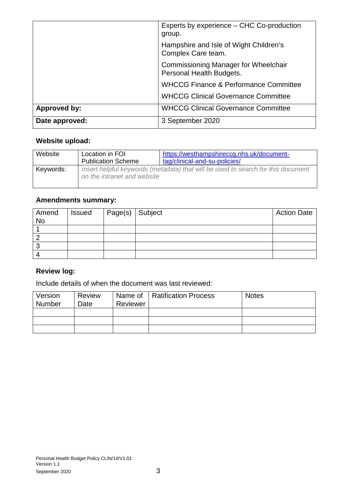|                     | Experts by experience - CHC Co-production<br>group.                     |
|---------------------|-------------------------------------------------------------------------|
|                     | Hampshire and Isle of Wight Children's<br>Complex Care team.            |
|                     | <b>Commissioning Manager for Wheelchair</b><br>Personal Health Budgets. |
|                     | <b>WHCCG Finance &amp; Performance Committee</b>                        |
|                     | <b>WHCCG Clinical Governance Committee</b>                              |
| <b>Approved by:</b> | <b>WHCCG Clinical Governance Committee</b>                              |
| Date approved:      | 3 September 2020                                                        |

# **Website upload:**

| Website   | Location in FOI<br><b>Publication Scheme</b>                                                                    | https://westhampshireccg.nhs.uk/document-<br>tag/clinical-and-su-policies/ |
|-----------|-----------------------------------------------------------------------------------------------------------------|----------------------------------------------------------------------------|
| Keywords: | Insert helpful keywords (metadata) that will be used to search for this document<br>on the intranet and website |                                                                            |

### **Amendments summary:**

| Amend<br><b>No</b> | <b>Issued</b> | Page(s) Subject | <b>Action Date</b> |
|--------------------|---------------|-----------------|--------------------|
|                    |               |                 |                    |
|                    |               |                 |                    |
|                    |               |                 |                    |
|                    |               |                 |                    |

### **Review log:**

Include details of when the document was last reviewed:

| Version | <b>Review</b> |          | Name of   Ratification Process | <b>Notes</b> |
|---------|---------------|----------|--------------------------------|--------------|
| Number  | Date          | Reviewer |                                |              |
|         |               |          |                                |              |
|         |               |          |                                |              |
|         |               |          |                                |              |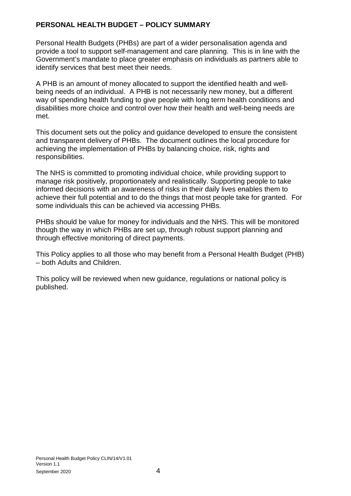#### **PERSONAL HEALTH BUDGET – POLICY SUMMARY**

Personal Health Budgets (PHBs) are part of a wider personalisation agenda and provide a tool to support self-management and care planning. This is in line with the Government's mandate to place greater emphasis on individuals as partners able to identify services that best meet their needs.

A PHB is an amount of money allocated to support the identified health and wellbeing needs of an individual. A PHB is not necessarily new money, but a different way of spending health funding to give people with long term health conditions and disabilities more choice and control over how their health and well-being needs are met.

This document sets out the policy and guidance developed to ensure the consistent and transparent delivery of PHBs. The document outlines the local procedure for achieving the implementation of PHBs by balancing choice, risk, rights and responsibilities.

The NHS is committed to promoting individual choice, while providing support to manage risk positively, proportionately and realistically. Supporting people to take informed decisions with an awareness of risks in their daily lives enables them to achieve their full potential and to do the things that most people take for granted. For some individuals this can be achieved via accessing PHBs.

PHBs should be value for money for individuals and the NHS. This will be monitored though the way in which PHBs are set up, through robust support planning and through effective monitoring of direct payments.

This Policy applies to all those who may benefit from a Personal Health Budget (PHB) – both Adults and Children.

This policy will be reviewed when new guidance, regulations or national policy is published.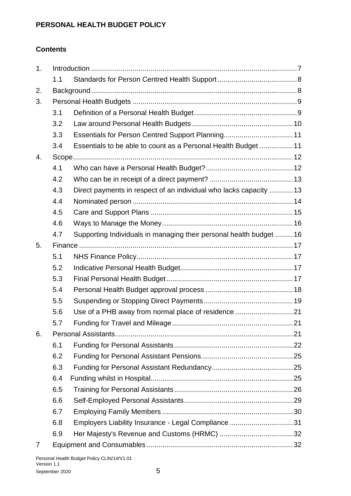### **PERSONAL HEALTH BUDGET POLICY**

### **Contents**

| 1. |     |                                                                     |  |
|----|-----|---------------------------------------------------------------------|--|
|    | 1.1 |                                                                     |  |
| 2. |     |                                                                     |  |
| 3. |     |                                                                     |  |
|    | 3.1 |                                                                     |  |
|    | 3.2 |                                                                     |  |
|    | 3.3 |                                                                     |  |
|    | 3.4 | Essentials to be able to count as a Personal Health Budget11        |  |
| 4. |     |                                                                     |  |
|    | 4.1 |                                                                     |  |
|    | 4.2 |                                                                     |  |
|    | 4.3 | Direct payments in respect of an individual who lacks capacity  13  |  |
|    | 4.4 |                                                                     |  |
|    | 4.5 |                                                                     |  |
|    | 4.6 |                                                                     |  |
|    | 4.7 | Supporting Individuals in managing their personal health budget  16 |  |
| 5. |     |                                                                     |  |
|    | 5.1 |                                                                     |  |
|    | 5.2 |                                                                     |  |
|    | 5.3 |                                                                     |  |
|    | 5.4 |                                                                     |  |
|    | 5.5 |                                                                     |  |
|    | 5.6 |                                                                     |  |
|    | 5.7 |                                                                     |  |
| 6. |     |                                                                     |  |
|    | 6.1 |                                                                     |  |
|    | 6.2 |                                                                     |  |
|    | 6.3 |                                                                     |  |
|    | 6.4 |                                                                     |  |
|    | 6.5 |                                                                     |  |
|    | 6.6 |                                                                     |  |
|    | 6.7 |                                                                     |  |
|    | 6.8 | Employers Liability Insurance - Legal Compliance 31                 |  |
|    | 6.9 |                                                                     |  |
| 7  |     |                                                                     |  |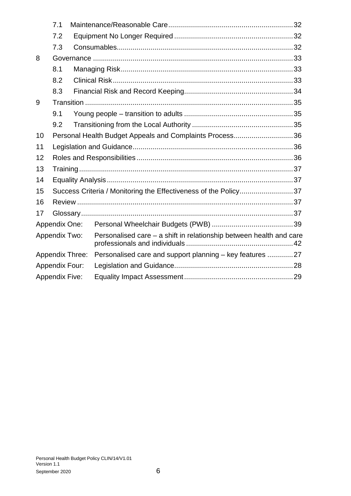|                       | 7.1                                                     |                                                                     |                                                                 |  |
|-----------------------|---------------------------------------------------------|---------------------------------------------------------------------|-----------------------------------------------------------------|--|
|                       | 7.2                                                     |                                                                     |                                                                 |  |
|                       | 7.3                                                     |                                                                     |                                                                 |  |
| 8                     |                                                         |                                                                     |                                                                 |  |
|                       | 8.1                                                     |                                                                     |                                                                 |  |
|                       | 8.2                                                     |                                                                     |                                                                 |  |
|                       | 8.3                                                     |                                                                     |                                                                 |  |
| 9                     |                                                         |                                                                     |                                                                 |  |
|                       | 9.1                                                     |                                                                     |                                                                 |  |
|                       | 9.2                                                     |                                                                     |                                                                 |  |
| 10                    | Personal Health Budget Appeals and Complaints Process36 |                                                                     |                                                                 |  |
| 11                    |                                                         |                                                                     |                                                                 |  |
| 12                    |                                                         |                                                                     |                                                                 |  |
| 13                    |                                                         |                                                                     |                                                                 |  |
| 14                    |                                                         |                                                                     |                                                                 |  |
| 15                    |                                                         |                                                                     | Success Criteria / Monitoring the Effectiveness of the Policy37 |  |
| 16                    |                                                         |                                                                     |                                                                 |  |
| 17                    |                                                         |                                                                     |                                                                 |  |
|                       | Appendix One:                                           |                                                                     |                                                                 |  |
| Appendix Two:         |                                                         | Personalised care - a shift in relationship between health and care |                                                                 |  |
|                       | <b>Appendix Three:</b>                                  |                                                                     | Personalised care and support planning - key features 27        |  |
|                       | <b>Appendix Four:</b>                                   |                                                                     |                                                                 |  |
| <b>Appendix Five:</b> |                                                         |                                                                     |                                                                 |  |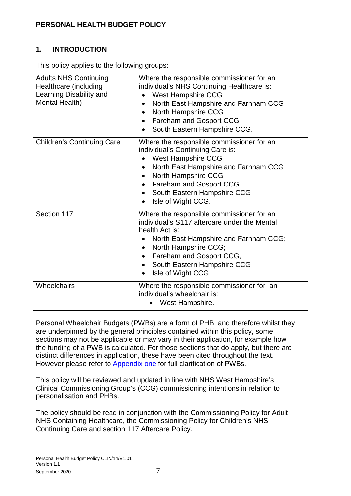### <span id="page-6-0"></span>**PERSONAL HEALTH BUDGET POLICY**

### **1. INTRODUCTION**

This policy applies to the following groups:

| <b>Adults NHS Continuing</b><br>Healthcare (including<br>Learning Disability and<br>Mental Health) | Where the responsible commissioner for an<br>individual's NHS Continuing Healthcare is:<br>West Hampshire CCG<br>North East Hampshire and Farnham CCG<br>$\bullet$<br>North Hampshire CCG<br>$\bullet$                                                                                              |
|----------------------------------------------------------------------------------------------------|-----------------------------------------------------------------------------------------------------------------------------------------------------------------------------------------------------------------------------------------------------------------------------------------------------|
|                                                                                                    | Fareham and Gosport CCG<br>$\bullet$<br>South Eastern Hampshire CCG.                                                                                                                                                                                                                                |
| <b>Children's Continuing Care</b>                                                                  | Where the responsible commissioner for an<br>individual's Continuing Care is:<br>West Hampshire CCG<br>North East Hampshire and Farnham CCG<br>North Hampshire CCG<br>Fareham and Gosport CCG<br>$\bullet$<br>South Eastern Hampshire CCG<br>$\bullet$<br>Isle of Wight CCG.<br>$\bullet$           |
| Section 117                                                                                        | Where the responsible commissioner for an<br>individual's S117 aftercare under the Mental<br>health Act is:<br>North East Hampshire and Farnham CCG;<br>North Hampshire CCG;<br>Fareham and Gosport CCG,<br>$\bullet$<br>South Eastern Hampshire CCG<br>$\bullet$<br>Isle of Wight CCG<br>$\bullet$ |
| Wheelchairs                                                                                        | Where the responsible commissioner for an<br>individual's wheelchair is:<br>West Hampshire.                                                                                                                                                                                                         |

Personal Wheelchair Budgets (PWBs) are a form of PHB, and therefore whilst they are underpinned by the general principles contained within this policy, some sections may not be applicable or may vary in their application, for example how the funding of a PWB is calculated. For those sections that do apply, but there are distinct differences in application, these have been cited throughout the text. However please refer to **Appendix one** for full clarification of PWBs.

This policy will be reviewed and updated in line with NHS West Hampshire's Clinical Commissioning Group's (CCG) commissioning intentions in relation to personalisation and PHBs.

The policy should be read in conjunction with the Commissioning Policy for Adult NHS Containing Healthcare, the Commissioning Policy for Children's NHS Continuing Care and section 117 Aftercare Policy.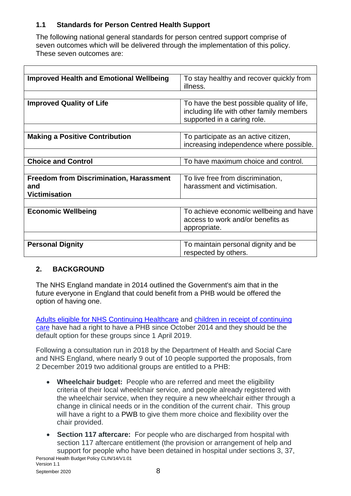### <span id="page-7-0"></span>**1.1 Standards for Person Centred Health Support**

The following national general standards for person centred support comprise of seven outcomes which will be delivered through the implementation of this policy. These seven outcomes are:

| <b>Improved Health and Emotional Wellbeing</b> | To stay healthy and recover quickly from<br>illness.                                                                  |
|------------------------------------------------|-----------------------------------------------------------------------------------------------------------------------|
|                                                |                                                                                                                       |
| <b>Improved Quality of Life</b>                | To have the best possible quality of life,<br>including life with other family members<br>supported in a caring role. |
|                                                |                                                                                                                       |
| <b>Making a Positive Contribution</b>          | To participate as an active citizen,<br>increasing independence where possible.                                       |
|                                                |                                                                                                                       |
| <b>Choice and Control</b>                      | To have maximum choice and control.                                                                                   |
|                                                |                                                                                                                       |
| <b>Freedom from Discrimination, Harassment</b> | To live free from discrimination,                                                                                     |
| and                                            | harassment and victimisation.                                                                                         |
| <b>Victimisation</b>                           |                                                                                                                       |
|                                                |                                                                                                                       |
| <b>Economic Wellbeing</b>                      | To achieve economic wellbeing and have                                                                                |
|                                                | access to work and/or benefits as                                                                                     |
|                                                | appropriate.                                                                                                          |
|                                                |                                                                                                                       |
| <b>Personal Dignity</b>                        | To maintain personal dignity and be                                                                                   |
|                                                | respected by others.                                                                                                  |

### <span id="page-7-1"></span>**2. BACKGROUND**

The NHS England mandate in 2014 outlined the Government's aim that in the future everyone in England that could benefit from a PHB would be offered the option of having one.

[Adults eligible for NHS Continuing Healthcare](https://www.england.nhs.uk/personal-health-budgets/personal-health-budgets-in-nhs-continuing-healthcare/) and [children in receipt of continuing](https://www.england.nhs.uk/personal-health-budgets/personal-health-budgets-for-children-young-people-and-families/)  [care](https://www.england.nhs.uk/personal-health-budgets/personal-health-budgets-for-children-young-people-and-families/) have had a right to have a PHB since October 2014 and they should be the default option for these groups since 1 April 2019.

Following a consultation run in 2018 by the Department of Health and Social Care and NHS England, where nearly 9 out of 10 people supported the proposals, from 2 December 2019 two additional groups are entitled to a PHB:

- **Wheelchair budget:** People who are referred and meet the eligibility criteria of their local wheelchair service, and people already registered with the wheelchair service, when they require a new wheelchair either through a change in clinical needs or in the condition of the current chair. This group will have a right to a PWB to give them more choice and flexibility over the chair provided.
- **Section 117 aftercare:** For people who are discharged from hospital with section 117 aftercare entitlement (the provision or arrangement of help and support for people who have been detained in hospital under sections 3, 37,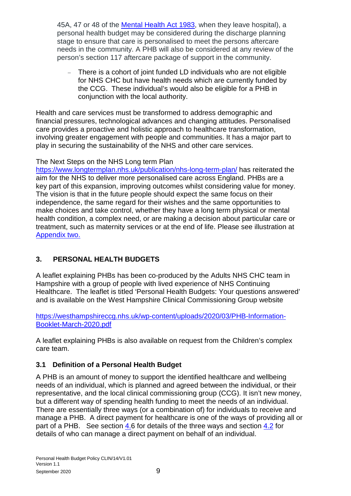45A, 47 or 48 of the [Mental Health Act 1983,](https://www.legislation.gov.uk/ukpga/1983/20/contents) when they leave hospital), a personal health budget may be considered during the discharge planning stage to ensure that care is personalised to meet the persons aftercare needs in the community. A PHB will also be considered at any review of the person's section 117 aftercare package of support in the community.

There is a cohort of joint funded LD individuals who are not eligible for NHS CHC but have health needs which are currently funded by the CCG. These individual's would also be eligible for a PHB in conjunction with the local authority.

Health and care services must be transformed to address demographic and financial pressures, technological advances and changing attitudes. Personalised care provides a proactive and holistic approach to healthcare transformation, involving greater engagement with people and communities. It has a major part to play in securing the sustainability of the NHS and other care services.

#### The Next Steps on the NHS Long term Plan

<https://www.longtermplan.nhs.uk/publication/nhs-long-term-plan/> has reiterated the aim for the NHS to deliver more personalised care across England. PHBs are a key part of this expansion, improving outcomes whilst considering value for money. The vision is that in the future people should expect the same focus on their independence, the same regard for their wishes and the same opportunities to make choices and take control, whether they have a long term physical or mental health condition, a complex need, or are making a decision about particular care or treatment, such as maternity services or at the end of life. Please see illustration at [Appendix two.](#page-41-0)

### <span id="page-8-0"></span>**3. PERSONAL HEALTH BUDGETS**

A leaflet explaining PHBs has been co-produced by the Adults NHS CHC team in Hampshire with a group of people with lived experience of NHS Continuing Healthcare. The leaflet is titled 'Personal Health Budgets: Your questions answered' and is available on the West Hampshire Clinical Commissioning Group website

[https://westhampshireccg.nhs.uk/wp-content/uploads/2020/03/PHB-Information-](https://westhampshireccg.nhs.uk/wp-content/uploads/2020/03/PHB-Information-Booklet-March-2020.pdf)[Booklet-March-2020.pdf](https://westhampshireccg.nhs.uk/wp-content/uploads/2020/03/PHB-Information-Booklet-March-2020.pdf)

A leaflet explaining PHBs is also available on request from the Children's complex care team.

### <span id="page-8-1"></span>**3.1 Definition of a Personal Health Budget**

A PHB is an amount of money to support the identified healthcare and wellbeing needs of an individual, which is planned and agreed between the individual, or their representative, and the local clinical commissioning group (CCG). It isn't new money, but a different way of spending health funding to meet the needs of an individual. There are essentially three ways (or a combination of) for individuals to receive and manage a PHB. A direct payment for healthcare is one of the ways of providing all or part of a PHB. See section [4.6](#page-15-0) for details of the three ways and section [4.2](#page-12-0) for details of who can manage a direct payment on behalf of an individual.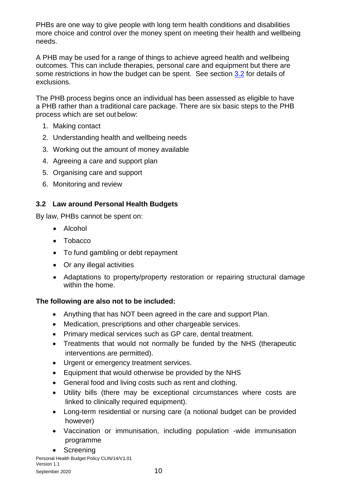PHBs are one way to give people with long term health conditions and disabilities more choice and control over the money spent on meeting their health and wellbeing needs.

A PHB may be used for a range of things to achieve agreed health and wellbeing outcomes. This can include therapies, personal care and equipment but there are some restrictions in how the budget can be spent. See section [3.2](#page-9-0) for details of exclusions.

The PHB process begins once an individual has been assessed as eligible to have a PHB rather than a traditional care package. There are six basic steps to the PHB process which are set out below:

- 1. Making contact
- 2. Understanding health and wellbeing needs
- 3. Working out the amount of money available
- 4. Agreeing a care and support plan
- 5. Organising care and support
- 6. Monitoring and review

### <span id="page-9-0"></span>**3.2 Law around Personal Health Budgets**

By law, PHBs cannot be spent on:

- Alcohol
- Tobacco
- To fund gambling or debt repayment
- Or any illegal activities
- Adaptations to property/property restoration or repairing structural damage within the home.

### **The following are also not to be included:**

- Anything that has NOT been agreed in the care and support Plan.
- Medication, prescriptions and other chargeable services.
- Primary medical services such as GP care, dental treatment.
- Treatments that would not normally be funded by the NHS (therapeutic interventions are permitted).
- Urgent or emergency treatment services.
- Equipment that would otherwise be provided by the NHS
- General food and living costs such as rent and clothing.
- Utility bills (there may be exceptional circumstances where costs are linked to clinically required equipment).
- Long-term residential or nursing care (a notional budget can be provided however)
- Vaccination or immunisation, including population -wide immunisation programme
- Screening

Personal Health Budget Policy CLIN/14/V1.01 Version 1.1 September 2020 10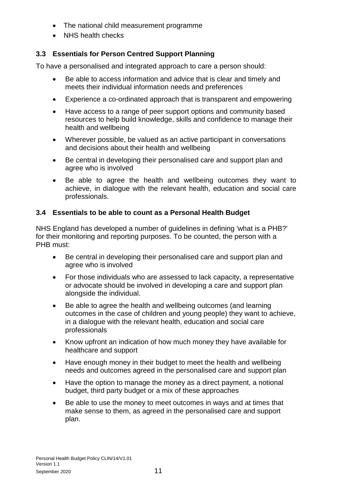- The national child measurement programme
- NHS health checks

# <span id="page-10-0"></span>**3.3 Essentials for Person Centred Support Planning**

To have a personalised and integrated approach to care a person should:

- Be able to access information and advice that is clear and timely and meets their individual information needs and preferences
- Experience a co-ordinated approach that is transparent and empowering
- Have access to a range of peer support options and community based resources to help build knowledge, skills and confidence to manage their health and wellbeing
- Wherever possible, be valued as an active participant in conversations and decisions about their health and wellbeing
- Be central in developing their personalised care and support plan and agree who is involved
- Be able to agree the health and wellbeing outcomes they want to achieve, in dialogue with the relevant health, education and social care professionals.

### <span id="page-10-1"></span>**3.4 Essentials to be able to count as a Personal Health Budget**

NHS England has developed a number of guidelines in defining 'what is a PHB?' for their monitoring and reporting purposes. To be counted, the person with a PHB must:

- Be central in developing their personalised care and support plan and agree who is involved
- For those individuals who are assessed to lack capacity, a representative or advocate should be involved in developing a care and support plan alongside the individual.
- Be able to agree the health and wellbeing outcomes (and learning outcomes in the case of children and young people) they want to achieve, in a dialogue with the relevant health, education and social care professionals
- Know upfront an indication of how much money they have available for healthcare and support
- Have enough money in their budget to meet the health and wellbeing needs and outcomes agreed in the personalised care and support plan
- Have the option to manage the money as a direct payment, a notional budget, third party budget or a mix of these approaches
- Be able to use the money to meet outcomes in ways and at times that make sense to them, as agreed in the personalised care and support plan.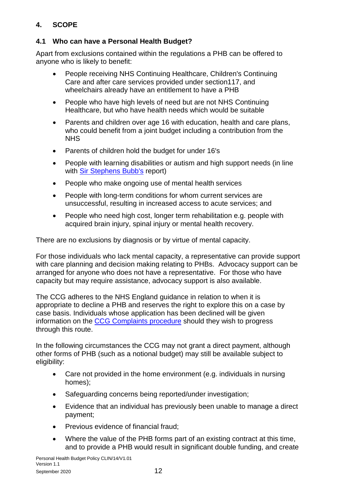### <span id="page-11-0"></span>**4. SCOPE**

### <span id="page-11-1"></span>**4.1 Who can have a Personal Health Budget?**

Apart from exclusions contained within the regulations a PHB can be offered to anyone who is likely to benefit:

- People receiving NHS Continuing Healthcare, Children's Continuing Care and after care services provided under section117, and wheelchairs already have an entitlement to have a PHB
- People who have high levels of need but are not NHS Continuing Healthcare, but who have health needs which would be suitable
- Parents and children over age 16 with education, health and care plans, who could benefit from a joint budget including a contribution from the **NHS**
- Parents of children hold the budget for under 16's
- People with learning disabilities or autism and high support needs (in line with [Sir Stephens Bubb's](https://www.england.nhs.uk/wp-content/uploads/2014/11/transforming-commissioning-services.pdf) report)
- People who make ongoing use of mental health services
- People with long-term conditions for whom current services are unsuccessful, resulting in increased access to acute services; and
- People who need high cost, longer term rehabilitation e.g. people with acquired brain injury, spinal injury or mental health recovery.

There are no exclusions by diagnosis or by virtue of mental capacity.

For those individuals who lack mental capacity, a representative can provide support with care planning and decision making relating to PHBs. Advocacy support can be arranged for anyone who does not have a representative. For those who have capacity but may require assistance, advocacy support is also available.

The CCG adheres to the NHS England guidance in relation to when it is appropriate to decline a PHB and reserves the right to explore this on a case by case basis. Individuals whose application has been declined will be given information on the [CCG Complaints procedure](https://www.westhampshireccg.nhs.uk/make-a-formal-complaint) should they wish to progress through this route.

In the following circumstances the CCG may not grant a direct payment, although other forms of PHB (such as a notional budget) may still be available subject to eligibility:

- Care not provided in the home environment (e.g. individuals in nursing homes);
- Safeguarding concerns being reported/under investigation;
- Evidence that an individual has previously been unable to manage a direct payment;
- Previous evidence of financial fraud;
- Where the value of the PHB forms part of an existing contract at this time, and to provide a PHB would result in significant double funding, and create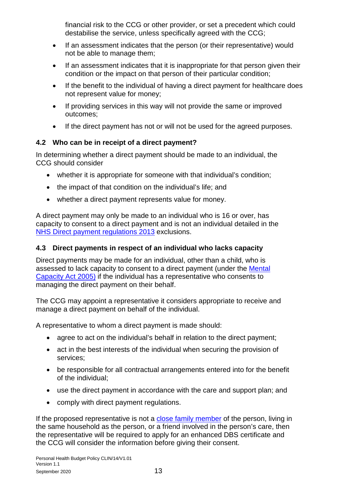financial risk to the CCG or other provider, or set a precedent which could destabilise the service, unless specifically agreed with the CCG;

- If an assessment indicates that the person (or their representative) would not be able to manage them;
- If an assessment indicates that it is inappropriate for that person given their condition or the impact on that person of their particular condition;
- If the benefit to the individual of having a direct payment for healthcare does not represent value for money;
- If providing services in this way will not provide the same or improved outcomes;
- If the direct payment has not or will not be used for the agreed purposes.

### <span id="page-12-0"></span>**4.2 Who can be in receipt of a direct payment?**

In determining whether a direct payment should be made to an individual, the CCG should consider

- whether it is appropriate for someone with that individual's condition;
- the impact of that condition on the individual's life; and
- whether a direct payment represents value for money.

A direct payment may only be made to an individual who is 16 or over, has capacity to consent to a direct payment and is not an individual detailed in the [NHS Direct payment regulations 2013](https://www.legislation.gov.uk/uksi/2013/1617/schedule/made) exclusions.

### <span id="page-12-1"></span>**4.3 Direct payments in respect of an individual who lacks capacity**

Direct payments may be made for an individual, other than a child, who is assessed to lack capacity to consent to a direct payment (under the [Mental](http://www.legislation.gov.uk/ukpga/2005/9/pdfs/ukpga_20050009_en.pdf)  [Capacity Act 2005\)](http://www.legislation.gov.uk/ukpga/2005/9/pdfs/ukpga_20050009_en.pdf) if the individual has a representative who consents to managing the direct payment on their behalf.

The CCG may appoint a representative it considers appropriate to receive and manage a direct payment on behalf of the individual.

A representative to whom a direct payment is made should:

- agree to act on the individual's behalf in relation to the direct payment;
- act in the best interests of the individual when securing the provision of services;
- be responsible for all contractual arrangements entered into for the benefit of the individual;
- use the direct payment in accordance with the care and support plan; and
- comply with direct payment regulations.

If the proposed representative is not a [close family member](#page-29-0) of the person, living in the same household as the person, or a friend involved in the person's care, then the representative will be required to apply for an enhanced DBS certificate and the CCG will consider the information before giving their consent.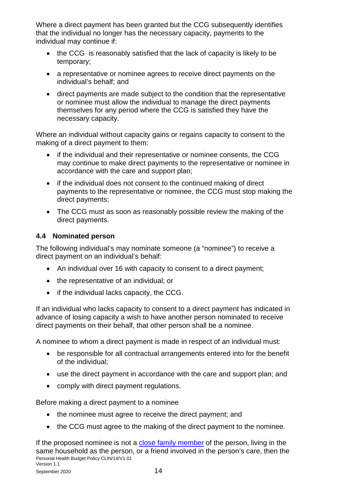Where a direct payment has been granted but the CCG subsequently identifies that the individual no longer has the necessary capacity, payments to the individual may continue if:

- the CCG is reasonably satisfied that the lack of capacity is likely to be temporary;
- a representative or nominee agrees to receive direct payments on the individual's behalf; and
- direct payments are made subject to the condition that the representative or nominee must allow the individual to manage the direct payments themselves for any period where the CCG is satisfied they have the necessary capacity.

Where an individual without capacity gains or regains capacity to consent to the making of a direct payment to them:

- if the individual and their representative or nominee consents, the CCG may continue to make direct payments to the representative or nominee in accordance with the care and support plan;
- if the individual does not consent to the continued making of direct payments to the representative or nominee, the CCG must stop making the direct payments;
- The CCG must as soon as reasonably possible review the making of the direct payments.

### <span id="page-13-0"></span>**4.4 Nominated person**

The following individual's may nominate someone (a "nominee") to receive a direct payment on an individual's behalf:

- An individual over 16 with capacity to consent to a direct payment;
- the representative of an individual; or
- if the individual lacks capacity, the CCG.

If an individual who lacks capacity to consent to a direct payment has indicated in advance of losing capacity a wish to have another person nominated to receive direct payments on their behalf, that other person shall be a nominee.

A nominee to whom a direct payment is made in respect of an individual must:

- be responsible for all contractual arrangements entered into for the benefit of the individual;
- use the direct payment in accordance with the care and support plan; and
- comply with direct payment regulations.

Before making a direct payment to a nominee

- the nominee must agree to receive the direct payment; and
- the CCG must agree to the making of the direct payment to the nominee.

Personal Health Budget Policy CLIN/14/V1.01 Version 1.1 If the proposed nominee is not a [close family member](#page-29-0) of the person, living in the same household as the person, or a friend involved in the person's care, then the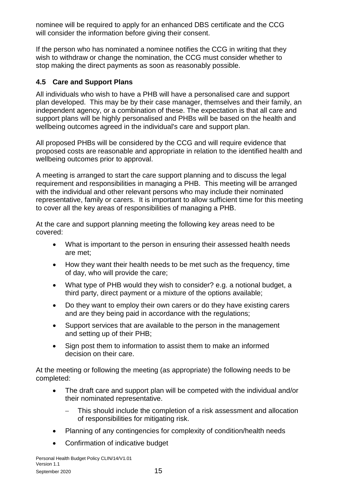nominee will be required to apply for an enhanced DBS certificate and the CCG will consider the information before giving their consent.

If the person who has nominated a nominee notifies the CCG in writing that they wish to withdraw or change the nomination, the CCG must consider whether to stop making the direct payments as soon as reasonably possible.

### <span id="page-14-0"></span>**4.5 Care and Support Plans**

All individuals who wish to have a PHB will have a personalised care and support plan developed. This may be by their case manager, themselves and their family, an independent agency, or a combination of these. The expectation is that all care and support plans will be highly personalised and PHBs will be based on the health and wellbeing outcomes agreed in the individual's care and support plan.

All proposed PHBs will be considered by the CCG and will require evidence that proposed costs are reasonable and appropriate in relation to the identified health and wellbeing outcomes prior to approval.

A meeting is arranged to start the care support planning and to discuss the legal requirement and responsibilities in managing a PHB. This meeting will be arranged with the individual and other relevant persons who may include their nominated representative, family or carers. It is important to allow sufficient time for this meeting to cover all the key areas of responsibilities of managing a PHB.

At the care and support planning meeting the following key areas need to be covered:

- What is important to the person in ensuring their assessed health needs are met;
- How they want their health needs to be met such as the frequency, time of day, who will provide the care;
- What type of PHB would they wish to consider? e.g. a notional budget, a third party, direct payment or a mixture of the options available;
- Do they want to employ their own carers or do they have existing carers and are they being paid in accordance with the regulations;
- Support services that are available to the person in the management and setting up of their PHB;
- Sign post them to information to assist them to make an informed decision on their care.

At the meeting or following the meeting (as appropriate) the following needs to be completed:

- The draft care and support plan will be competed with the individual and/or their nominated representative.
	- − This should include the completion of a risk assessment and allocation of responsibilities for mitigating risk.
- Planning of any contingencies for complexity of condition/health needs
- Confirmation of indicative budget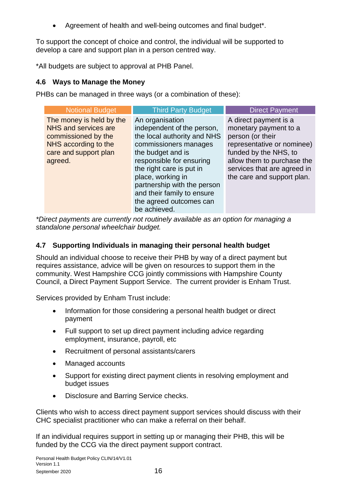Agreement of health and well-being outcomes and final budget\*.

To support the concept of choice and control, the individual will be supported to develop a care and support plan in a person centred way.

\*All budgets are subject to approval at PHB Panel.

#### <span id="page-15-0"></span>**4.6 Ways to Manage the Money**

PHBs can be managed in three ways (or a combination of these):

| <b>Notional Budget</b>                                                                                                              | <b>Third Party Budget</b>                                                                                                                                                                                                                                                                                       | <b>Direct Payment</b>                                                                                                                                                                                                |
|-------------------------------------------------------------------------------------------------------------------------------------|-----------------------------------------------------------------------------------------------------------------------------------------------------------------------------------------------------------------------------------------------------------------------------------------------------------------|----------------------------------------------------------------------------------------------------------------------------------------------------------------------------------------------------------------------|
| The money is held by the<br>NHS and services are<br>commissioned by the<br>NHS according to the<br>care and support plan<br>agreed. | An organisation<br>independent of the person,<br>the local authority and NHS<br>commissioners manages<br>the budget and is<br>responsible for ensuring<br>the right care is put in<br>place, working in<br>partnership with the person<br>and their family to ensure<br>the agreed outcomes can<br>be achieved. | A direct payment is a<br>monetary payment to a<br>person (or their<br>representative or nominee)<br>funded by the NHS, to<br>allow them to purchase the<br>services that are agreed in<br>the care and support plan. |

*\*Direct payments are currently not routinely available as an option for managing a standalone personal wheelchair budget.*

### <span id="page-15-1"></span>**4.7 Supporting Individuals in managing their personal health budget**

Should an individual choose to receive their PHB by way of a direct payment but requires assistance, advice will be given on resources to support them in the community. West Hampshire CCG jointly commissions with Hampshire County Council, a Direct Payment Support Service. The current provider is Enham Trust.

Services provided by Enham Trust include:

- Information for those considering a personal health budget or direct payment
- Full support to set up direct payment including advice regarding employment, insurance, payroll, etc
- Recruitment of personal assistants/carers
- Managed accounts
- Support for existing direct payment clients in resolving employment and budget issues
- Disclosure and Barring Service checks.

Clients who wish to access direct payment support services should discuss with their CHC specialist practitioner who can make a referral on their behalf.

If an individual requires support in setting up or managing their PHB, this will be funded by the CCG via the direct payment support contract.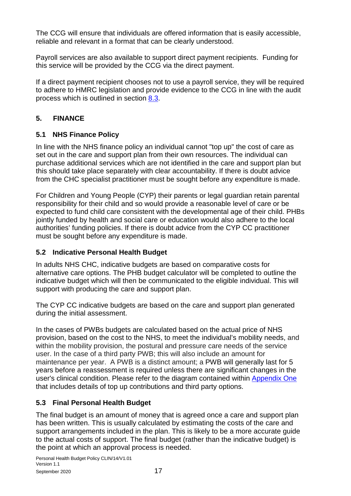The CCG will ensure that individuals are offered information that is easily accessible, reliable and relevant in a format that can be clearly understood.

Payroll services are also available to support direct payment recipients. Funding for this service will be provided by the CCG via the direct payment.

If a direct payment recipient chooses not to use a payroll service, they will be required to adhere to HMRC legislation and provide evidence to the CCG in line with the audit process which is outlined in section [8.3.](#page-33-0)

### <span id="page-16-0"></span>**5. FINANCE**

### <span id="page-16-1"></span>**5.1 NHS Finance Policy**

In line with the NHS finance policy an individual cannot "top up" the cost of care as set out in the care and support plan from their own resources. The individual can purchase additional services which are not identified in the care and support plan but this should take place separately with clear accountability. If there is doubt advice from the CHC specialist practitioner must be sought before any expenditure is made.

For Children and Young People (CYP) their parents or legal guardian retain parental responsibility for their child and so would provide a reasonable level of care or be expected to fund child care consistent with the developmental age of their child. PHBs jointly funded by health and social care or education would also adhere to the local authorities' funding policies. If there is doubt advice from the CYP CC practitioner must be sought before any expenditure is made.

### <span id="page-16-2"></span>**5.2 Indicative Personal Health Budget**

In adults NHS CHC, indicative budgets are based on comparative costs for alternative care options. The PHB budget calculator will be completed to outline the indicative budget which will then be communicated to the eligible individual. This will support with producing the care and support plan.

The CYP CC indicative budgets are based on the care and support plan generated during the initial assessment.

In the cases of PWBs budgets are calculated based on the actual price of NHS provision, based on the cost to the NHS, to meet the individual's mobility needs, and within the mobility provision, the postural and pressure care needs of the service user. In the case of a third party PWB; this will also include an amount for maintenance per year. A PWB is a distinct amount; a PWB will generally last for 5 years before a reassessment is required unless there are significant changes in the user's clinical condition. Please refer to the diagram contained within [Appendix One](#page-37-0) that includes details of top up contributions and third party options.

### <span id="page-16-3"></span>**5.3 Final Personal Health Budget**

The final budget is an amount of money that is agreed once a care and support plan has been written. This is usually calculated by estimating the costs of the care and support arrangements included in the plan. This is likely to be a more accurate guide to the actual costs of support. The final budget (rather than the indicative budget) is the point at which an approval process is needed.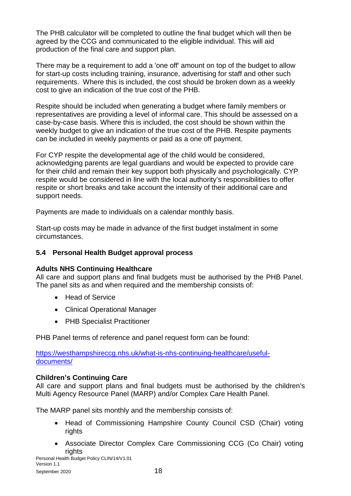The PHB calculator will be completed to outline the final budget which will then be agreed by the CCG and communicated to the eligible individual. This will aid production of the final care and support plan.

There may be a requirement to add a 'one off' amount on top of the budget to allow for start-up costs including training, insurance, advertising for staff and other such requirements. Where this is included, the cost should be broken down as a weekly cost to give an indication of the true cost of the PHB.

Respite should be included when generating a budget where family members or representatives are providing a level of informal care. This should be assessed on a case-by-case basis. Where this is included, the cost should be shown within the weekly budget to give an indication of the true cost of the PHB. Respite payments can be included in weekly payments or paid as a one off payment.

For CYP respite the developmental age of the child would be considered, acknowledging parents are legal guardians and would be expected to provide care for their child and remain their key support both physically and psychologically. CYP respite would be considered in line with the local authority's responsibilities to offer respite or short breaks and take account the intensity of their additional care and support needs.

Payments are made to individuals on a calendar monthly basis.

Start-up costs may be made in advance of the first budget instalment in some circumstances.

### <span id="page-17-0"></span>**5.4 Personal Health Budget approval process**

#### **Adults NHS Continuing Healthcare**

All care and support plans and final budgets must be authorised by the PHB Panel. The panel sits as and when required and the membership consists of:

- Head of Service
- Clinical Operational Manager
- PHB Specialist Practitioner

PHB Panel terms of reference and panel request form can be found:

[https://westhampshireccg.nhs.uk/what-is-nhs-continuing-healthcare/useful](https://westhampshireccg.nhs.uk/what-is-nhs-continuing-healthcare/useful-documents/)[documents/](https://westhampshireccg.nhs.uk/what-is-nhs-continuing-healthcare/useful-documents/)

#### **Children's Continuing Care**

All care and support plans and final budgets must be authorised by the children's Multi Agency Resource Panel (MARP) and/or Complex Care Health Panel.

The MARP panel sits monthly and the membership consists of:

- Head of Commissioning Hampshire County Council CSD (Chair) voting rights
- Associate Director Complex Care Commissioning CCG (Co Chair) voting rights

Personal Health Budget Policy CLIN/14/V1.01 Version 1.1 September 2020 18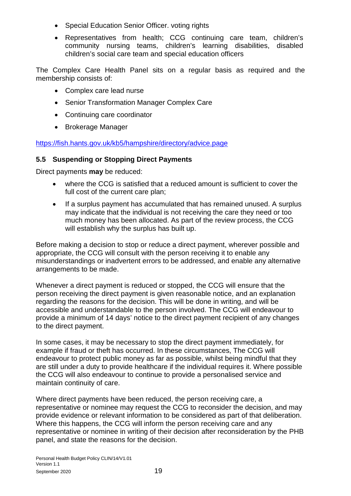- Special Education Senior Officer. voting rights
- Representatives from health; CCG continuing care team, children's community nursing teams, children's learning disabilities, disabled children's social care team and special education officers

The Complex Care Health Panel sits on a regular basis as required and the membership consists of:

- Complex care lead nurse
- Senior Transformation Manager Complex Care
- Continuing care coordinator
- Brokerage Manager

[https://fish.hants.gov.uk/kb5/hampshire/directory/advice.page](https://fish.hants.gov.uk/kb5/hampshire/directory/advice.page?id=CfYomDcks4E)

### <span id="page-18-0"></span>**5.5 Suspending or Stopping Direct Payments**

Direct payments **may** be reduced:

- where the CCG is satisfied that a reduced amount is sufficient to cover the full cost of the current care plan;
- If a surplus payment has accumulated that has remained unused. A surplus may indicate that the individual is not receiving the care they need or too much money has been allocated. As part of the review process, the CCG will establish why the surplus has built up.

Before making a decision to stop or reduce a direct payment, wherever possible and appropriate, the CCG will consult with the person receiving it to enable any misunderstandings or inadvertent errors to be addressed, and enable any alternative arrangements to be made.

Whenever a direct payment is reduced or stopped, the CCG will ensure that the person receiving the direct payment is given reasonable notice, and an explanation regarding the reasons for the decision. This will be done in writing, and will be accessible and understandable to the person involved. The CCG will endeavour to provide a minimum of 14 days' notice to the direct payment recipient of any changes to the direct payment.

In some cases, it may be necessary to stop the direct payment immediately, for example if fraud or theft has occurred. In these circumstances, The CCG will endeavour to protect public money as far as possible, whilst being mindful that they are still under a duty to provide healthcare if the individual requires it. Where possible the CCG will also endeavour to continue to provide a personalised service and maintain continuity of care.

Where direct payments have been reduced, the person receiving care, a representative or nominee may request the CCG to reconsider the decision, and may provide evidence or relevant information to be considered as part of that deliberation. Where this happens, the CCG will inform the person receiving care and any representative or nominee in writing of their decision after reconsideration by the PHB panel, and state the reasons for the decision.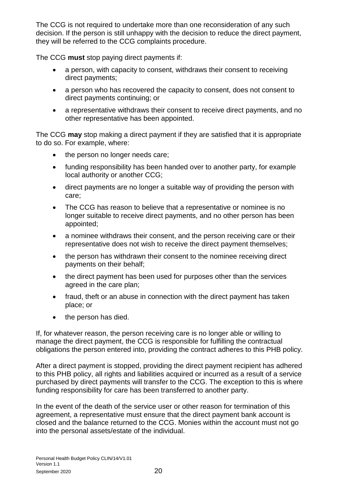The CCG is not required to undertake more than one reconsideration of any such decision. If the person is still unhappy with the decision to reduce the direct payment, they will be referred to the CCG complaints procedure.

The CCG **must** stop paying direct payments if:

- a person, with capacity to consent, withdraws their consent to receiving direct payments;
- a person who has recovered the capacity to consent, does not consent to direct payments continuing; or
- a representative withdraws their consent to receive direct payments, and no other representative has been appointed.

The CCG **may** stop making a direct payment if they are satisfied that it is appropriate to do so. For example, where:

- the person no longer needs care;
- funding responsibility has been handed over to another party, for example local authority or another CCG;
- direct payments are no longer a suitable way of providing the person with care;
- The CCG has reason to believe that a representative or nominee is no longer suitable to receive direct payments, and no other person has been appointed;
- a nominee withdraws their consent, and the person receiving care or their representative does not wish to receive the direct payment themselves;
- the person has withdrawn their consent to the nominee receiving direct payments on their behalf;
- the direct payment has been used for purposes other than the services agreed in the care plan;
- fraud, theft or an abuse in connection with the direct payment has taken place; or
- the person has died.

If, for whatever reason, the person receiving care is no longer able or willing to manage the direct payment, the CCG is responsible for fulfilling the contractual obligations the person entered into, providing the contract adheres to this PHB policy.

After a direct payment is stopped, providing the direct payment recipient has adhered to this PHB policy, all rights and liabilities acquired or incurred as a result of a service purchased by direct payments will transfer to the CCG. The exception to this is where funding responsibility for care has been transferred to another party.

In the event of the death of the service user or other reason for termination of this agreement, a representative must ensure that the direct payment bank account is closed and the balance returned to the CCG. Monies within the account must not go into the personal assets/estate of the individual.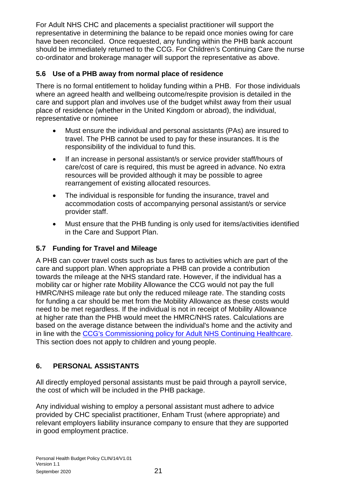For Adult NHS CHC and placements a specialist practitioner will support the representative in determining the balance to be repaid once monies owing for care have been reconciled. Once requested, any funding within the PHB bank account should be immediately returned to the CCG. For Children's Continuing Care the nurse co-ordinator and brokerage manager will support the representative as above.

### <span id="page-20-0"></span>**5.6 Use of a PHB away from normal place of residence**

There is no formal entitlement to holiday funding within a PHB. For those individuals where an agreed health and wellbeing outcome/respite provision is detailed in the care and support plan and involves use of the budget whilst away from their usual place of residence (whether in the United Kingdom or abroad), the individual, representative or nominee

- Must ensure the individual and personal assistants (PAs) are insured to travel. The PHB cannot be used to pay for these insurances. It is the responsibility of the individual to fund this.
- If an increase in personal assistant/s or service provider staff/hours of care/cost of care is required, this must be agreed in advance. No extra resources will be provided although it may be possible to agree rearrangement of existing allocated resources.
- The individual is responsible for funding the insurance, travel and accommodation costs of accompanying personal assistant/s or service provider staff.
- Must ensure that the PHB funding is only used for items/activities identified in the Care and Support Plan.

### <span id="page-20-1"></span>**5.7 Funding for Travel and Mileage**

A PHB can cover travel costs such as bus fares to activities which are part of the care and support plan. When appropriate a PHB can provide a contribution towards the mileage at the NHS standard rate. However, if the individual has a mobility car or higher rate Mobility Allowance the CCG would not pay the full HMRC/NHS mileage rate but only the reduced mileage rate. The standing costs for funding a car should be met from the Mobility Allowance as these costs would need to be met regardless. If the individual is not in receipt of Mobility Allowance at higher rate than the PHB would meet the HMRC/NHS rates. Calculations are based on the average distance between the individual's home and the activity and in line with the [CCG's Commissioning policy for Adult NHS Continuing Healthcare.](https://westhampshireccg.nhs.uk/document/commissioning-policy-adult-continuing-healthcare-jan-2020/) This section does not apply to children and young people.

### <span id="page-20-2"></span>**6. PERSONAL ASSISTANTS**

All directly employed personal assistants must be paid through a payroll service, the cost of which will be included in the PHB package.

Any individual wishing to employ a personal assistant must adhere to advice provided by CHC specialist practitioner, Enham Trust (where appropriate) and relevant employers liability insurance company to ensure that they are supported in good employment practice.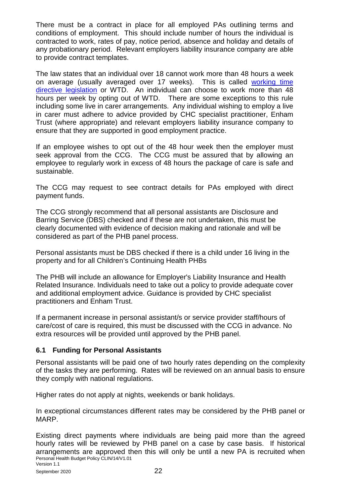There must be a contract in place for all employed PAs outlining terms and conditions of employment. This should include number of hours the individual is contracted to work, rates of pay, notice period, absence and holiday and details of any probationary period. Relevant employers liability insurance company are able to provide contract templates.

The law states that an individual over 18 cannot work more than 48 hours a week on average (usually averaged over 17 weeks). This is called [working time](https://www.legislation.gov.uk/uksi/1998/1833/contents/made)  [directive legislation](https://www.legislation.gov.uk/uksi/1998/1833/contents/made) or WTD. An individual can choose to work more than 48 hours per week by opting out of WTD. There are some exceptions to this rule including some live in carer arrangements. Any individual wishing to employ a live in carer must adhere to advice provided by CHC specialist practitioner, Enham Trust (where appropriate) and relevant employers liability insurance company to ensure that they are supported in good employment practice.

If an employee wishes to opt out of the 48 hour week then the employer must seek approval from the CCG. The CCG must be assured that by allowing an employee to regularly work in excess of 48 hours the package of care is safe and sustainable.

The CCG may request to see contract details for PAs employed with direct payment funds.

The CCG strongly recommend that all personal assistants are Disclosure and Barring Service (DBS) checked and if these are not undertaken, this must be clearly documented with evidence of decision making and rationale and will be considered as part of the PHB panel process.

Personal assistants must be DBS checked if there is a child under 16 living in the property and for all Children's Continuing Health PHBs

The PHB will include an allowance for Employer's Liability Insurance and Health Related Insurance. Individuals need to take out a policy to provide adequate cover and additional employment advice. Guidance is provided by CHC specialist practitioners and Enham Trust.

If a permanent increase in personal assistant/s or service provider staff/hours of care/cost of care is required, this must be discussed with the CCG in advance. No extra resources will be provided until approved by the PHB panel.

#### <span id="page-21-0"></span>**6.1 Funding for Personal Assistants**

Personal assistants will be paid one of two hourly rates depending on the complexity of the tasks they are performing. Rates will be reviewed on an annual basis to ensure they comply with national regulations.

Higher rates do not apply at nights, weekends or bank holidays.

In exceptional circumstances different rates may be considered by the PHB panel or MARP.

Personal Health Budget Policy CLIN/14/V1.01 Version 1.1 Existing direct payments where individuals are being paid more than the agreed hourly rates will be reviewed by PHB panel on a case by case basis. If historical arrangements are approved then this will only be until a new PA is recruited when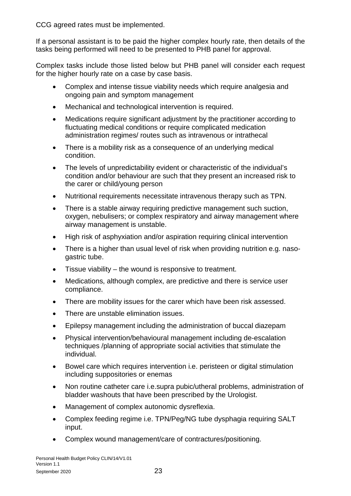CCG agreed rates must be implemented.

If a personal assistant is to be paid the higher complex hourly rate, then details of the tasks being performed will need to be presented to PHB panel for approval.

Complex tasks include those listed below but PHB panel will consider each request for the higher hourly rate on a case by case basis.

- Complex and intense tissue viability needs which require analgesia and ongoing pain and symptom management
- Mechanical and technological intervention is required.
- Medications require significant adjustment by the practitioner according to fluctuating medical conditions or require complicated medication administration regimes/ routes such as intravenous or intrathecal
- There is a mobility risk as a consequence of an underlying medical condition.
- The levels of unpredictability evident or characteristic of the individual's condition and/or behaviour are such that they present an increased risk to the carer or child/young person
- Nutritional requirements necessitate intravenous therapy such as TPN.
- There is a stable airway requiring predictive management such suction, oxygen, nebulisers; or complex respiratory and airway management where airway management is unstable.
- High risk of asphyxiation and/or aspiration requiring clinical intervention
- There is a higher than usual level of risk when providing nutrition e.g. nasogastric tube.
- Tissue viability the wound is responsive to treatment.
- Medications, although complex, are predictive and there is service user compliance.
- There are mobility issues for the carer which have been risk assessed.
- There are unstable elimination issues.
- Epilepsy management including the administration of buccal diazepam
- Physical intervention/behavioural management including de-escalation techniques /planning of appropriate social activities that stimulate the individual.
- Bowel care which requires intervention i.e. peristeen or digital stimulation including suppositories or enemas
- Non routine catheter care i.e.supra pubic/utheral problems, administration of bladder washouts that have been prescribed by the Urologist.
- Management of complex autonomic dysreflexia.
- Complex feeding regime i.e. TPN/Peg/NG tube dysphagia requiring SALT input.
- Complex wound management/care of contractures/positioning.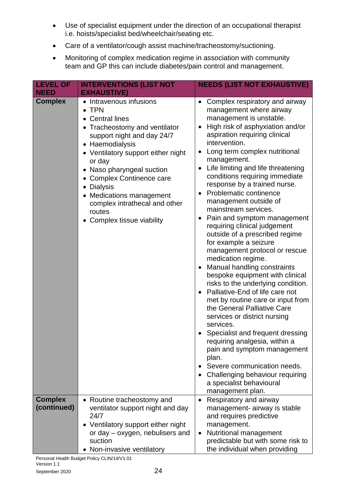- Use of specialist equipment under the direction of an occupational therapist i.e. hoists/specialist bed/wheelchair/seating etc.
- Care of a ventilator/cough assist machine/tracheostomy/suctioning.
- Monitoring of complex medication regime in association with community team and GP this can include diabetes/pain control and management.

| <b>LEVEL OF</b>               | <b>INTERVENTIONS (LIST NOT</b>                                                                                                                                                                                                                                                                                                                                                                                  | <b>NEEDS (LIST NOT EXHAUSTIVE)</b>                                                                                                                                                                                                                                                                                                                                                                                                                                                                                                                                                                                                                                                                                                                                                                                                                                                                                                                                                                                                                                                                                                                        |
|-------------------------------|-----------------------------------------------------------------------------------------------------------------------------------------------------------------------------------------------------------------------------------------------------------------------------------------------------------------------------------------------------------------------------------------------------------------|-----------------------------------------------------------------------------------------------------------------------------------------------------------------------------------------------------------------------------------------------------------------------------------------------------------------------------------------------------------------------------------------------------------------------------------------------------------------------------------------------------------------------------------------------------------------------------------------------------------------------------------------------------------------------------------------------------------------------------------------------------------------------------------------------------------------------------------------------------------------------------------------------------------------------------------------------------------------------------------------------------------------------------------------------------------------------------------------------------------------------------------------------------------|
| <b>NEED</b>                   | <b>EXHAUSTIVE)</b>                                                                                                                                                                                                                                                                                                                                                                                              |                                                                                                                                                                                                                                                                                                                                                                                                                                                                                                                                                                                                                                                                                                                                                                                                                                                                                                                                                                                                                                                                                                                                                           |
| <b>Complex</b>                | Intravenous infusions<br><b>TPN</b><br>$\bullet$<br><b>Central lines</b><br>• Tracheostomy and ventilator<br>support night and day 24/7<br>Haemodialysis<br>$\bullet$<br>• Ventilatory support either night<br>or day<br>Naso pharyngeal suction<br><b>Complex Continence care</b><br><b>Dialysis</b><br><b>Medications management</b><br>complex intrathecal and other<br>routes<br>• Complex tissue viability | Complex respiratory and airway<br>$\bullet$<br>management where airway<br>management is unstable.<br>High risk of asphyxiation and/or<br>$\bullet$<br>aspiration requiring clinical<br>intervention.<br>Long term complex nutritional<br>٠<br>management.<br>Life limiting and life threatening<br>$\bullet$<br>conditions requiring immediate<br>response by a trained nurse.<br><b>Problematic continence</b><br>$\bullet$<br>management outside of<br>mainstream services.<br>Pain and symptom management<br>requiring clinical judgement<br>outside of a prescribed regime<br>for example a seizure<br>management protocol or rescue<br>medication regime.<br>Manual handling constraints<br>bespoke equipment with clinical<br>risks to the underlying condition.<br>Palliative-End of life care not<br>met by routine care or input from<br>the General Palliative Care<br>services or district nursing<br>services.<br>Specialist and frequent dressing<br>requiring analgesia, within a<br>pain and symptom management<br>plan.<br>Severe communication needs.<br>Challenging behaviour requiring<br>a specialist behavioural<br>management plan. |
| <b>Complex</b><br>(continued) | Routine tracheostomy and<br>ventilator support night and day<br>24/7<br>Ventilatory support either night<br>or day – oxygen, nebulisers and<br>suction                                                                                                                                                                                                                                                          | Respiratory and airway<br>$\bullet$<br>management- airway is stable<br>and requires predictive<br>management.<br>Nutritional management<br>$\bullet$<br>predictable but with some risk to                                                                                                                                                                                                                                                                                                                                                                                                                                                                                                                                                                                                                                                                                                                                                                                                                                                                                                                                                                 |
|                               | Non-invasive ventilatory                                                                                                                                                                                                                                                                                                                                                                                        | the individual when providing                                                                                                                                                                                                                                                                                                                                                                                                                                                                                                                                                                                                                                                                                                                                                                                                                                                                                                                                                                                                                                                                                                                             |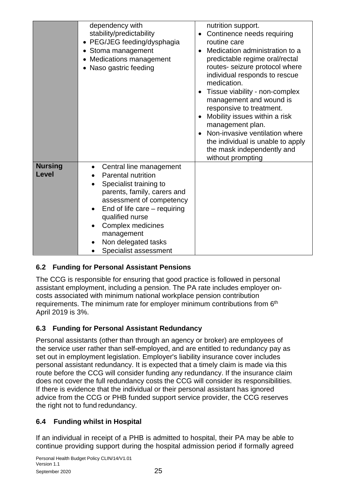|                                | dependency with<br>stability/predictability<br>PEG/JEG feeding/dysphagia<br>Stoma management<br>Medications management<br>Naso gastric feeding                                                                                                                                                                           | nutrition support.<br>Continence needs requiring<br>routine care<br>Medication administration to a<br>predictable regime oral/rectal<br>routes- seizure protocol where<br>individual responds to rescue<br>medication.<br>Tissue viability - non-complex<br>$\bullet$<br>management and wound is<br>responsive to treatment.<br>Mobility issues within a risk<br>management plan.<br>Non-invasive ventilation where<br>the individual is unable to apply<br>the mask independently and<br>without prompting |
|--------------------------------|--------------------------------------------------------------------------------------------------------------------------------------------------------------------------------------------------------------------------------------------------------------------------------------------------------------------------|-------------------------------------------------------------------------------------------------------------------------------------------------------------------------------------------------------------------------------------------------------------------------------------------------------------------------------------------------------------------------------------------------------------------------------------------------------------------------------------------------------------|
| <b>Nursing</b><br><b>Level</b> | Central line management<br>$\bullet$<br><b>Parental nutrition</b><br>Specialist training to<br>parents, family, carers and<br>assessment of competency<br>End of life care $-$ requiring<br>qualified nurse<br>Complex medicines<br>$\bullet$<br>management<br>Non delegated tasks<br>Specialist assessment<br>$\bullet$ |                                                                                                                                                                                                                                                                                                                                                                                                                                                                                                             |

### <span id="page-24-0"></span>**6.2 Funding for Personal Assistant Pensions**

The CCG is responsible for ensuring that good practice is followed in personal assistant employment, including a pension. The PA rate includes employer oncosts associated with minimum national workplace pension contribution requirements. The minimum rate for employer minimum contributions from 6<sup>th</sup> April 2019 is 3%.

### <span id="page-24-1"></span>**6.3 Funding for Personal Assistant Redundancy**

Personal assistants (other than through an agency or broker) are employees of the service user rather than self-employed, and are entitled to redundancy pay as set out in employment legislation. Employer's liability insurance cover includes personal assistant redundancy. It is expected that a timely claim is made via this route before the CCG will consider funding any redundancy. If the insurance claim does not cover the full redundancy costs the CCG will consider its responsibilities. If there is evidence that the individual or their personal assistant has ignored advice from the CCG or PHB funded support service provider, the CCG reserves the right not to fund redundancy.

### <span id="page-24-2"></span>**6.4 Funding whilst in Hospital**

If an individual in receipt of a PHB is admitted to hospital, their PA may be able to continue providing support during the hospital admission period if formally agreed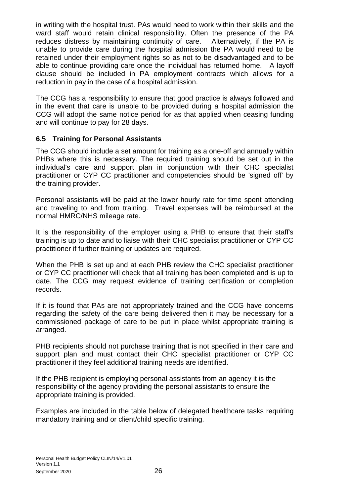in writing with the hospital trust. PAs would need to work within their skills and the ward staff would retain clinical responsibility. Often the presence of the PA reduces distress by maintaining continuity of care. Alternatively, if the PA is unable to provide care during the hospital admission the PA would need to be retained under their employment rights so as not to be disadvantaged and to be able to continue providing care once the individual has returned home. A layoff clause should be included in PA employment contracts which allows for a reduction in pay in the case of a hospital admission.

The CCG has a responsibility to ensure that good practice is always followed and in the event that care is unable to be provided during a hospital admission the CCG will adopt the same notice period for as that applied when ceasing funding and will continue to pay for 28 days.

#### <span id="page-25-0"></span>**6.5 Training for Personal Assistants**

The CCG should include a set amount for training as a one-off and annually within PHBs where this is necessary. The required training should be set out in the individual's care and support plan in conjunction with their CHC specialist practitioner or CYP CC practitioner and competencies should be 'signed off' by the training provider.

Personal assistants will be paid at the lower hourly rate for time spent attending and traveling to and from training. Travel expenses will be reimbursed at the normal HMRC/NHS mileage rate.

It is the responsibility of the employer using a PHB to ensure that their staff's training is up to date and to liaise with their CHC specialist practitioner or CYP CC practitioner if further training or updates are required.

When the PHB is set up and at each PHB review the CHC specialist practitioner or CYP CC practitioner will check that all training has been completed and is up to date. The CCG may request evidence of training certification or completion records.

If it is found that PAs are not appropriately trained and the CCG have concerns regarding the safety of the care being delivered then it may be necessary for a commissioned package of care to be put in place whilst appropriate training is arranged.

PHB recipients should not purchase training that is not specified in their care and support plan and must contact their CHC specialist practitioner or CYP CC practitioner if they feel additional training needs are identified.

If the PHB recipient is employing personal assistants from an agency it is the responsibility of the agency providing the personal assistants to ensure the appropriate training is provided.

Examples are included in the table below of delegated healthcare tasks requiring mandatory training and or client/child specific training.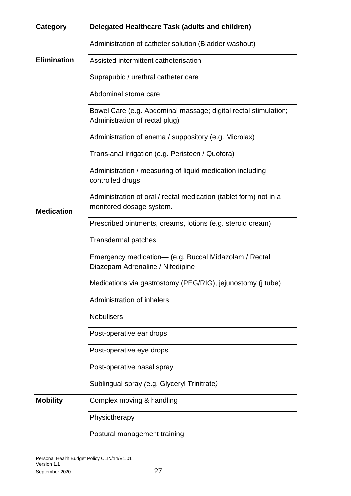| <b>Category</b>    | Delegated Healthcare Task (adults and children)                                                   |
|--------------------|---------------------------------------------------------------------------------------------------|
|                    | Administration of catheter solution (Bladder washout)                                             |
| <b>Elimination</b> | Assisted intermittent catheterisation                                                             |
|                    | Suprapubic / urethral catheter care                                                               |
|                    | Abdominal stoma care                                                                              |
| <b>Medication</b>  | Bowel Care (e.g. Abdominal massage; digital rectal stimulation;<br>Administration of rectal plug) |
|                    | Administration of enema / suppository (e.g. Microlax)                                             |
|                    | Trans-anal irrigation (e.g. Peristeen / Quofora)                                                  |
|                    | Administration / measuring of liquid medication including<br>controlled drugs                     |
|                    | Administration of oral / rectal medication (tablet form) not in a<br>monitored dosage system.     |
|                    | Prescribed ointments, creams, lotions (e.g. steroid cream)                                        |
|                    | <b>Transdermal patches</b>                                                                        |
|                    | Emergency medication- (e.g. Buccal Midazolam / Rectal<br>Diazepam Adrenaline / Nifedipine         |
|                    | Medications via gastrostomy (PEG/RIG), jejunostomy (j tube)                                       |
|                    | Administration of inhalers                                                                        |
|                    | <b>Nebulisers</b>                                                                                 |
|                    | Post-operative ear drops                                                                          |
|                    | Post-operative eye drops                                                                          |
|                    | Post-operative nasal spray                                                                        |
|                    | Sublingual spray (e.g. Glyceryl Trinitrate)                                                       |
| <b>Mobility</b>    | Complex moving & handling                                                                         |
|                    | Physiotherapy                                                                                     |
|                    | Postural management training                                                                      |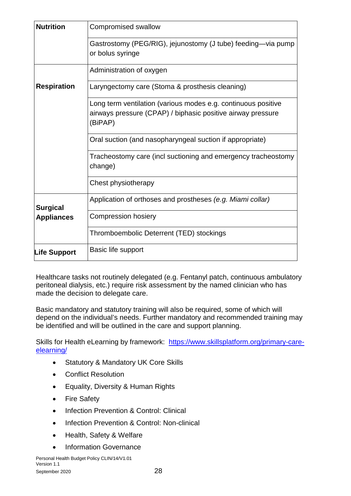| <b>Nutrition</b>    | Compromised swallow                                                                                                                     |
|---------------------|-----------------------------------------------------------------------------------------------------------------------------------------|
|                     | Gastrostomy (PEG/RIG), jejunostomy (J tube) feeding—via pump<br>or bolus syringe                                                        |
|                     | Administration of oxygen                                                                                                                |
| <b>Respiration</b>  | Laryngectomy care (Stoma & prosthesis cleaning)                                                                                         |
|                     | Long term ventilation (various modes e.g. continuous positive<br>airways pressure (CPAP) / biphasic positive airway pressure<br>(BiPAP) |
|                     | Oral suction (and nasopharyngeal suction if appropriate)                                                                                |
|                     | Tracheostomy care (incl suctioning and emergency tracheostomy<br>change)                                                                |
|                     | Chest physiotherapy                                                                                                                     |
| <b>Surgical</b>     | Application of orthoses and prostheses (e.g. Miami collar)                                                                              |
| <b>Appliances</b>   | <b>Compression hosiery</b>                                                                                                              |
|                     | Thromboembolic Deterrent (TED) stockings                                                                                                |
| <b>Life Support</b> | Basic life support                                                                                                                      |

Healthcare tasks not routinely delegated (e.g. Fentanyl patch, continuous ambulatory peritoneal dialysis, etc.) require risk assessment by the named clinician who has made the decision to delegate care.

Basic mandatory and statutory training will also be required, some of which will depend on the individual's needs. Further mandatory and recommended training may be identified and will be outlined in the care and support planning.

Skills for Health eLearning by framework: [https://www.skillsplatform.org/primary-care](https://www.skillsplatform.org/primary-care-elearning/)[elearning/](https://www.skillsplatform.org/primary-care-elearning/) 

- Statutory & Mandatory UK Core Skills
- Conflict Resolution
- Equality, Diversity & Human Rights
- Fire Safety
- Infection Prevention & Control: Clinical
- Infection Prevention & Control: Non-clinical
- Health, Safety & Welfare
- Information Governance

Personal Health Budget Policy CLIN/14/V1.01 Version 1.1 September 2020 28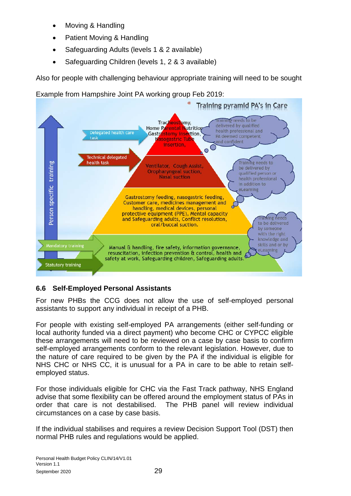- Moving & Handling
- Patient Moving & Handling
- Safeguarding Adults (levels 1 & 2 available)
- Safeguarding Children (levels 1, 2 & 3 available)

Also for people with challenging behaviour appropriate training will need to be sought

Example from Hampshire Joint PA working group Feb 2019:



### <span id="page-28-0"></span>**6.6 Self-Employed Personal Assistants**

For new PHBs the CCG does not allow the use of self-employed personal assistants to support any individual in receipt of a PHB.

For people with existing self-employed PA arrangements (either self-funding or local authority funded via a direct payment) who become CHC or CYPCC eligible these arrangements will need to be reviewed on a case by case basis to confirm self-employed arrangements conform to the relevant legislation. However, due to the nature of care required to be given by the PA if the individual is eligible for NHS CHC or NHS CC, it is unusual for a PA in care to be able to retain selfemployed status.

For those individuals eligible for CHC via the Fast Track pathway, NHS England advise that some flexibility can be offered around the employment status of PAs in order that care is not destabilised. The PHB panel will review individual circumstances on a case by case basis.

If the individual stabilises and requires a review Decision Support Tool (DST) then normal PHB rules and regulations would be applied.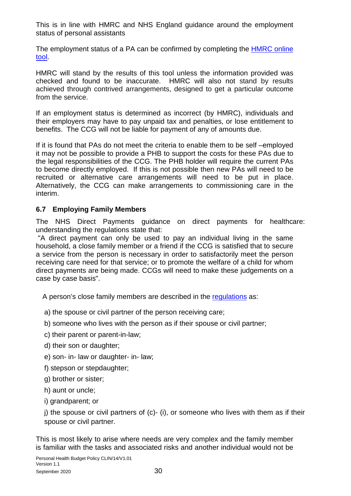This is in line with HMRC and NHS England guidance around the employment status of personal assistants

The employment status of a PA can be confirmed by completing the [HMRC online](https://www.gov.uk/guidance/check-employment-status-for-tax) [tool.](https://www.gov.uk/guidance/check-employment-status-for-tax)

HMRC will stand by the results of this tool unless the information provided was checked and found to be inaccurate. HMRC will also not stand by results achieved through contrived arrangements, designed to get a particular outcome from the service.

If an employment status is determined as incorrect (by HMRC), individuals and their employers may have to pay unpaid tax and penalties, or lose entitlement to benefits. The CCG will not be liable for payment of any of amounts due.

If it is found that PAs do not meet the criteria to enable them to be self –employed it may not be possible to provide a PHB to support the costs for these PAs due to the legal responsibilities of the CCG. The PHB holder will require the current PAs to become directly employed. If this is not possible then new PAs will need to be recruited or alternative care arrangements will need to be put in place. Alternatively, the CCG can make arrangements to commissioning care in the interim.

### <span id="page-29-0"></span>**6.7 Employing Family Members**

The NHS Direct Payments guidance on direct payments for healthcare: understanding the regulations state that:

"A direct payment can only be used to pay an individual living in the same household, a close family member or a friend if the CCG is satisfied that to secure a service from the person is necessary in order to satisfactorily meet the person receiving care need for that service; or to promote the welfare of a child for whom direct payments are being made. CCGs will need to make these judgements on a case by case basis".

A person's close family members are described in the [regulations](https://www.legislation.gov.uk/uksi/2013/1617/contents/made) as:

- a) the spouse or civil partner of the person receiving care;
- b) someone who lives with the person as if their spouse or civil partner;
- c) their parent or parent-in-law;
- d) their son or daughter;
- e) son- in- law or daughter- in- law;
- f) stepson or stepdaughter;
- g) brother or sister;
- h) aunt or uncle;
- i) grandparent; or

 $i)$  the spouse or civil partners of  $(c)$ -  $(i)$ , or someone who lives with them as if their spouse or civil partner.

This is most likely to arise where needs are very complex and the family member is familiar with the tasks and associated risks and another individual would not be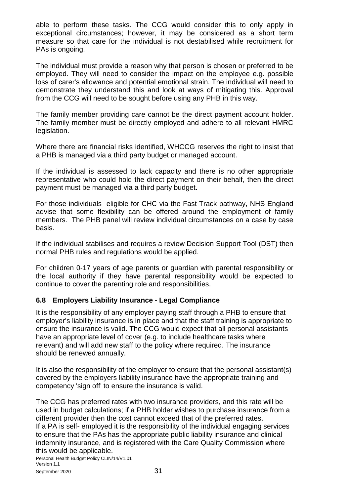able to perform these tasks. The CCG would consider this to only apply in exceptional circumstances; however, it may be considered as a short term measure so that care for the individual is not destabilised while recruitment for PAs is ongoing.

The individual must provide a reason why that person is chosen or preferred to be employed. They will need to consider the impact on the employee e.g. possible loss of carer's allowance and potential emotional strain. The individual will need to demonstrate they understand this and look at ways of mitigating this. Approval from the CCG will need to be sought before using any PHB in this way.

The family member providing care cannot be the direct payment account holder. The family member must be directly employed and adhere to all relevant HMRC legislation.

Where there are financial risks identified, WHCCG reserves the right to insist that a PHB is managed via a third party budget or managed account.

If the individual is assessed to lack capacity and there is no other appropriate representative who could hold the direct payment on their behalf, then the direct payment must be managed via a third party budget.

For those individuals eligible for CHC via the Fast Track pathway, NHS England advise that some flexibility can be offered around the employment of family members. The PHB panel will review individual circumstances on a case by case basis.

If the individual stabilises and requires a review Decision Support Tool (DST) then normal PHB rules and regulations would be applied.

For children 0-17 years of age parents or guardian with parental responsibility or the local authority if they have parental responsibility would be expected to continue to cover the parenting role and responsibilities.

#### <span id="page-30-0"></span>**6.8 Employers Liability Insurance - Legal Compliance**

It is the responsibility of any employer paying staff through a PHB to ensure that employer's liability insurance is in place and that the staff training is appropriate to ensure the insurance is valid. The CCG would expect that all personal assistants have an appropriate level of cover (e.g. to include healthcare tasks where relevant) and will add new staff to the policy where required. The insurance should be renewed annually.

It is also the responsibility of the employer to ensure that the personal assistant(s) covered by the employers liability insurance have the appropriate training and competency 'sign off' to ensure the insurance is valid.

The CCG has preferred rates with two insurance providers, and this rate will be used in budget calculations; if a PHB holder wishes to purchase insurance from a different provider then the cost cannot exceed that of the preferred rates. If a PA is self- employed it is the responsibility of the individual engaging services to ensure that the PAs has the appropriate public liability insurance and clinical indemnity insurance, and is registered with the Care Quality Commission where this would be applicable.

Personal Health Budget Policy CLIN/14/V1.01 Version 1.1 September 2020 31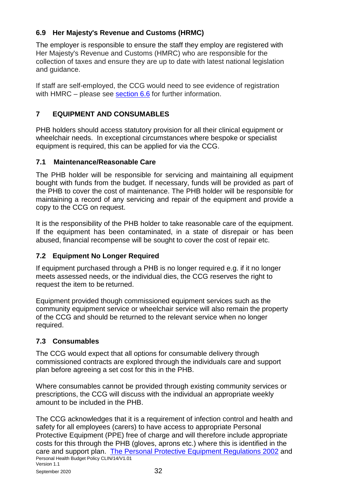### <span id="page-31-0"></span>**6.9 Her Majesty's Revenue and Customs (HRMC)**

The employer is responsible to ensure the staff they employ are registered with Her Majesty's Revenue and Customs (HMRC) who are responsible for the collection of taxes and ensure they are up to date with latest national legislation and guidance.

If staff are self-employed, the CCG would need to see evidence of registration with HMRC – please see [section 6.6](#page-28-0) for further information.

### <span id="page-31-1"></span>**7 EQUIPMENT AND CONSUMABLES**

PHB holders should access statutory provision for all their clinical equipment or wheelchair needs. In exceptional circumstances where bespoke or specialist equipment is required, this can be applied for via the CCG.

### <span id="page-31-2"></span>**7.1 Maintenance/Reasonable Care**

The PHB holder will be responsible for servicing and maintaining all equipment bought with funds from the budget. If necessary, funds will be provided as part of the PHB to cover the cost of maintenance. The PHB holder will be responsible for maintaining a record of any servicing and repair of the equipment and provide a copy to the CCG on request.

It is the responsibility of the PHB holder to take reasonable care of the equipment. If the equipment has been contaminated, in a state of disrepair or has been abused, financial recompense will be sought to cover the cost of repair etc.

### <span id="page-31-3"></span>**7.2 Equipment No Longer Required**

If equipment purchased through a PHB is no longer required e.g. if it no longer meets assessed needs, or the individual dies, the CCG reserves the right to request the item to be returned.

Equipment provided though commissioned equipment services such as the community equipment service or wheelchair service will also remain the property of the CCG and should be returned to the relevant service when no longer required.

### <span id="page-31-4"></span>**7.3 Consumables**

The CCG would expect that all options for consumable delivery through commissioned contracts are explored through the individuals care and support plan before agreeing a set cost for this in the PHB.

Where consumables cannot be provided through existing community services or prescriptions, the CCG will discuss with the individual an appropriate weekly amount to be included in the PHB.

Personal Health Budget Policy CLIN/14/V1.01 Version 1.1 The CCG acknowledges that it is a requirement of infection control and health and safety for all employees (carers) to have access to appropriate Personal Protective Equipment (PPE) free of charge and will therefore include appropriate costs for this through the PHB (gloves, aprons etc.) where this is identified in the care and support plan. [The Personal Protective Equipment Regulations 2002](https://www.legislation.gov.uk/uksi/2002/1144/contents/made) and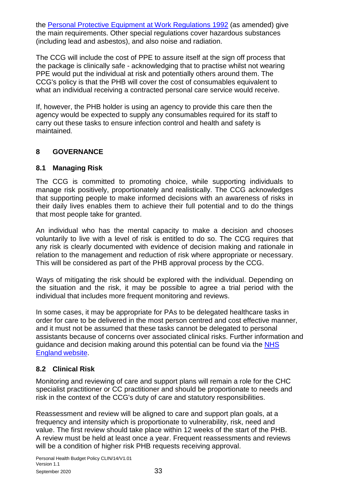the [Personal Protective Equipment at Work Regulations 1992](https://www.legislation.gov.uk/uksi/1992/2966/contents/made) (as amended) give the main requirements. Other special regulations cover hazardous substances (including lead and asbestos), and also noise and radiation.

The CCG will include the cost of PPE to assure itself at the sign off process that the package is clinically safe - acknowledging that to practise whilst not wearing PPE would put the individual at risk and potentially others around them. The CCG's policy is that the PHB will cover the cost of consumables equivalent to what an individual receiving a contracted personal care service would receive.

If, however, the PHB holder is using an agency to provide this care then the agency would be expected to supply any consumables required for its staff to carry out these tasks to ensure infection control and health and safety is maintained.

### <span id="page-32-0"></span>**8 GOVERNANCE**

#### <span id="page-32-1"></span>**8.1 Managing Risk**

The CCG is committed to promoting choice, while supporting individuals to manage risk positively, proportionately and realistically. The CCG acknowledges that supporting people to make informed decisions with an awareness of risks in their daily lives enables them to achieve their full potential and to do the things that most people take for granted.

An individual who has the mental capacity to make a decision and chooses voluntarily to live with a level of risk is entitled to do so. The CCG requires that any risk is clearly documented with evidence of decision making and rationale in relation to the management and reduction of risk where appropriate or necessary. This will be considered as part of the PHB approval process by the CCG.

Ways of mitigating the risk should be explored with the individual. Depending on the situation and the risk, it may be possible to agree a trial period with the individual that includes more frequent monitoring and reviews.

In some cases, it may be appropriate for PAs to be delegated healthcare tasks in order for care to be delivered in the most person centred and cost effective manner, and it must not be assumed that these tasks cannot be delegated to personal assistants because of concerns over associated clinical risks. Further information and guidance and decision making around this potential can be found via the [NHS](https://www.england.nhs.uk/wp-content/uploads/2017/06/516_Delegation-of-healthcare-tasks-to-personal-assistants_S7.pdf)  [England](https://www.england.nhs.uk/wp-content/uploads/2017/06/516_Delegation-of-healthcare-tasks-to-personal-assistants_S7.pdf) website.

#### <span id="page-32-2"></span>**8.2 Clinical Risk**

Monitoring and reviewing of care and support plans will remain a role for the CHC specialist practitioner or CC practitioner and should be proportionate to needs and risk in the context of the CCG's duty of care and statutory responsibilities.

Reassessment and review will be aligned to care and support plan goals, at a frequency and intensity which is proportionate to vulnerability, risk, need and value. The first review should take place within 12 weeks of the start of the PHB. A review must be held at least once a year. Frequent reassessments and reviews will be a condition of higher risk PHB requests receiving approval.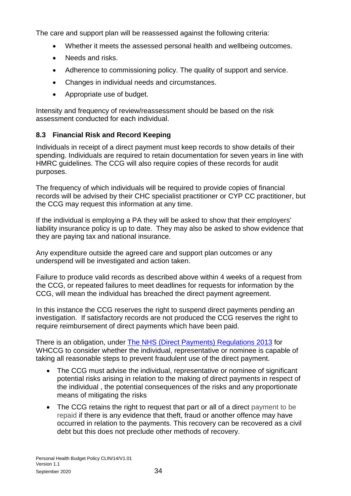The care and support plan will be reassessed against the following criteria:

- Whether it meets the assessed personal health and wellbeing outcomes.
- Needs and risks.
- Adherence to commissioning policy. The quality of support and service.
- Changes in individual needs and circumstances.
- Appropriate use of budget.

Intensity and frequency of review/reassessment should be based on the risk assessment conducted for each individual.

### <span id="page-33-0"></span>**8.3 Financial Risk and Record Keeping**

Individuals in receipt of a direct payment must keep records to show details of their spending. Individuals are required to retain documentation for seven years in line with HMRC guidelines. The CCG will also require copies of these records for audit purposes.

The frequency of which individuals will be required to provide copies of financial records will be advised by their CHC specialist practitioner or CYP CC practitioner, but the CCG may request this information at any time.

If the individual is employing a PA they will be asked to show that their employers' liability insurance policy is up to date. They may also be asked to show evidence that they are paying tax and national insurance.

Any expenditure outside the agreed care and support plan outcomes or any underspend will be investigated and action taken.

Failure to produce valid records as described above within 4 weeks of a request from the CCG, or repeated failures to meet deadlines for requests for information by the CCG, will mean the individual has breached the direct payment agreement.

In this instance the CCG reserves the right to suspend direct payments pending an investigation. If satisfactory records are not produced the CCG reserves the right to require reimbursement of direct payments which have been paid.

There is an obligation, under **The NHS (Direct Payments) Regulations 2013** for WHCCG to consider whether the individual, representative or nominee is capable of taking all reasonable steps to prevent fraudulent use of the direct payment.

- The CCG must advise the individual, representative or nominee of significant potential risks arising in relation to the making of direct payments in respect of the individual , the potential consequences of the risks and any proportionate means of mitigating the risks
- The CCG retains the right to request that part or all of a direct payment to be repaid if there is any evidence that theft, fraud or another offence may have occurred in relation to the payments. This recovery can be recovered as a civil debt but this does not preclude other methods of recovery.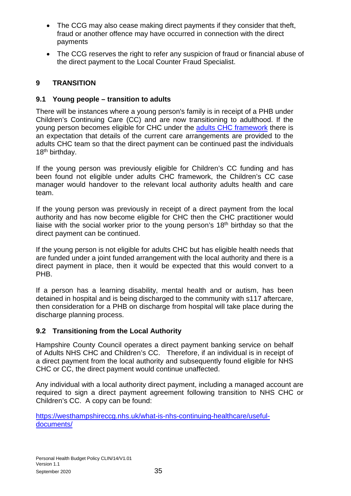- The CCG may also cease making direct payments if they consider that theft, fraud or another offence may have occurred in connection with the direct payments
- The CCG reserves the right to refer any suspicion of fraud or financial abuse of the direct payment to the Local Counter Fraud Specialist.

### <span id="page-34-0"></span>**9 TRANSITION**

### <span id="page-34-1"></span>**9.1 Young people – transition to adults**

There will be instances where a young person's family is in receipt of a PHB under Children's Continuing Care (CC) and are now transitioning to adulthood. If the young person becomes eligible for CHC under the [adults CHC framework](https://www.gov.uk/government/publications/national-framework-for-nhs-continuing-healthcare-and-nhs-funded-nursing-care) there is an expectation that details of the current care arrangements are provided to the adults CHC team so that the direct payment can be continued past the individuals 18<sup>th</sup> birthday.

If the young person was previously eligible for Children's CC funding and has been found not eligible under adults CHC framework, the Children's CC case manager would handover to the relevant local authority adults health and care team.

If the young person was previously in receipt of a direct payment from the local authority and has now become eligible for CHC then the CHC practitioner would liaise with the social worker prior to the young person's  $18<sup>th</sup>$  birthday so that the direct payment can be continued.

If the young person is not eligible for adults CHC but has eligible health needs that are funded under a joint funded arrangement with the local authority and there is a direct payment in place, then it would be expected that this would convert to a PHB.

If a person has a learning disability, mental health and or autism, has been detained in hospital and is being discharged to the community with s117 aftercare, then consideration for a PHB on discharge from hospital will take place during the discharge planning process.

### <span id="page-34-2"></span>**9.2 Transitioning from the Local Authority**

Hampshire County Council operates a direct payment banking service on behalf of Adults NHS CHC and Children's CC. Therefore, if an individual is in receipt of a direct payment from the local authority and subsequently found eligible for NHS CHC or CC, the direct payment would continue unaffected.

Any individual with a local authority direct payment, including a managed account are required to sign a direct payment agreement following transition to NHS CHC or Children's CC. A copy can be found:

[https://westhampshireccg.nhs.uk/what-is-nhs-continuing-healthcare/useful](https://westhampshireccg.nhs.uk/what-is-nhs-continuing-healthcare/useful-documents/)[documents/](https://westhampshireccg.nhs.uk/what-is-nhs-continuing-healthcare/useful-documents/)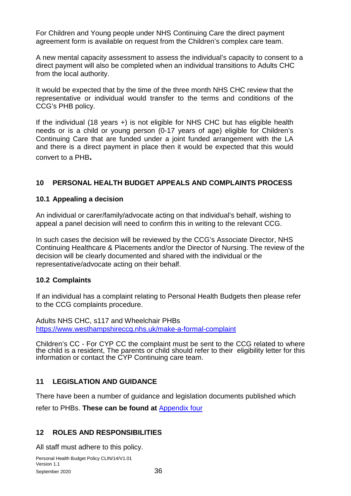For Children and Young people under NHS Continuing Care the direct payment agreement form is available on request from the Children's complex care team.

A new mental capacity assessment to assess the individual's capacity to consent to a direct payment will also be completed when an individual transitions to Adults CHC from the local authority.

It would be expected that by the time of the three month NHS CHC review that the representative or individual would transfer to the terms and conditions of the CCG's PHB policy.

If the individual (18 years +) is not eligible for NHS CHC but has eligible health needs or is a child or young person (0-17 years of age) eligible for Children's Continuing Care that are funded under a joint funded arrangement with the LA and there is a direct payment in place then it would be expected that this would convert to a PHB**.**

### <span id="page-35-0"></span>**10 PERSONAL HEALTH BUDGET APPEALS AND COMPLAINTS PROCESS**

#### **10.1 Appealing a decision**

An individual or carer/family/advocate acting on that individual's behalf, wishing to appeal a panel decision will need to confirm this in writing to the relevant CCG.

In such cases the decision will be reviewed by the CCG's Associate Director, NHS Continuing Healthcare & Placements and/or the Director of Nursing. The review of the decision will be clearly documented and shared with the individual or the representative/advocate acting on their behalf.

#### **10.2 Complaints**

If an individual has a complaint relating to Personal Health Budgets then please refer to the CCG complaints procedure.

Adults NHS CHC, s117 and Wheelchair PHBs <https://www.westhampshireccg.nhs.uk/make-a-formal-complaint>

Children's CC - For CYP CC the complaint must be sent to the CCG related to where the child is a resident, The parents or child should refer to their eligibility letter for this information or contact the CYP Continuing care team.

#### <span id="page-35-1"></span>**11 LEGISLATION AND GUIDANCE**

There have been a number of guidance and legislation documents published which

refer to PHBs. **These can be found at** [Appendix four](#page-43-0)

#### <span id="page-35-2"></span>**12 ROLES AND RESPONSIBILITIES**

All staff must adhere to this policy.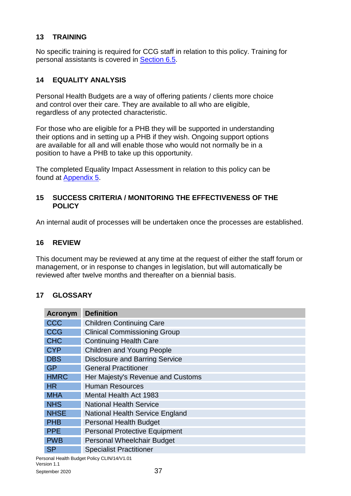### <span id="page-36-0"></span>**13 TRAINING**

No specific training is required for CCG staff in relation to this policy. Training for personal assistants is covered in [Section 6.5.](#page-25-0)

### <span id="page-36-1"></span>**14 EQUALITY ANALYSIS**

Personal Health Budgets are a way of offering patients / clients more choice and control over their care. They are available to all who are eligible, regardless of any protected characteristic.

For those who are eligible for a PHB they will be supported in understanding their options and in setting up a PHB if they wish. Ongoing support options are available for all and will enable those who would not normally be in a position to have a PHB to take up this opportunity.

The completed Equality Impact Assessment in relation to this policy can be found at [Appendix 5.](#page-44-0)

#### <span id="page-36-2"></span>**15 SUCCESS CRITERIA / MONITORING THE EFFECTIVENESS OF THE POLICY**

An internal audit of processes will be undertaken once the processes are established.

#### <span id="page-36-3"></span>**16 REVIEW**

This document may be reviewed at any time at the request of either the staff forum or management, or in response to changes in legislation, but will automatically be reviewed after twelve months and thereafter on a biennial basis.

#### <span id="page-36-4"></span>**17 GLOSSARY**

| <b>Acronym</b> | <b>Definition</b>                      |
|----------------|----------------------------------------|
| CCC            | <b>Children Continuing Care</b>        |
| <b>CCG</b>     | <b>Clinical Commissioning Group</b>    |
| <b>CHC</b>     | <b>Continuing Health Care</b>          |
| <b>CYP</b>     | <b>Children and Young People</b>       |
| <b>DBS</b>     | <b>Disclosure and Barring Service</b>  |
| <b>GP</b>      | <b>General Practitioner</b>            |
| <b>HMRC</b>    | Her Majesty's Revenue and Customs      |
| <b>HR</b>      | <b>Human Resources</b>                 |
| <b>MHA</b>     | <b>Mental Health Act 1983</b>          |
| <b>NHS</b>     | <b>National Health Service</b>         |
| <b>NHSE</b>    | <b>National Health Service England</b> |
| <b>PHB</b>     | <b>Personal Health Budget</b>          |
| <b>PPE</b>     | <b>Personal Protective Equipment</b>   |
| <b>PWB</b>     | Personal Wheelchair Budget             |
| <b>SP</b>      | <b>Specialist Practitioner</b>         |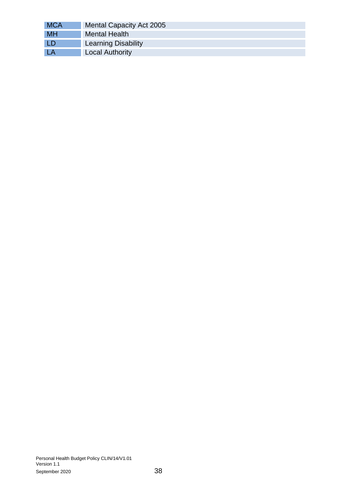<span id="page-37-0"></span>

| <b>MCA</b> | Mental Capacity Act 2005   |
|------------|----------------------------|
| <b>MH</b>  | <b>Mental Health</b>       |
| LD         | <b>Learning Disability</b> |
| LA         | <b>Local Authority</b>     |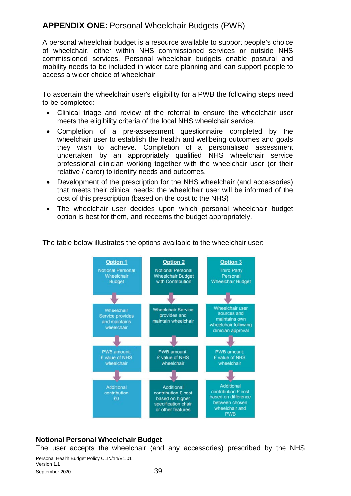# <span id="page-38-0"></span>**APPENDIX ONE:** Personal Wheelchair Budgets (PWB)

A personal wheelchair budget is a resource available to support people's choice of wheelchair, either within NHS commissioned services or outside NHS commissioned services. Personal wheelchair budgets enable postural and mobility needs to be included in wider care planning and can support people to access a wider choice of wheelchair

To ascertain the wheelchair user's eligibility for a PWB the following steps need to be completed:

- Clinical triage and review of the referral to ensure the wheelchair user meets the eligibility criteria of the local NHS wheelchair service.
- Completion of a pre-assessment questionnaire completed by the wheelchair user to establish the health and wellbeing outcomes and goals they wish to achieve. Completion of a personalised assessment undertaken by an appropriately qualified NHS wheelchair service professional clinician working together with the wheelchair user (or their relative / carer) to identify needs and outcomes.
- Development of the prescription for the NHS wheelchair (and accessories) that meets their clinical needs; the wheelchair user will be informed of the cost of this prescription (based on the cost to the NHS)
- The wheelchair user decides upon which personal wheelchair budget option is best for them, and redeems the budget appropriately.



The table below illustrates the options available to the wheelchair user:

#### **Notional Personal Wheelchair Budget**

The user accepts the wheelchair (and any accessories) prescribed by the NHS

Personal Health Budget Policy CLIN/14/V1.01 Version 1.1 September 2020 39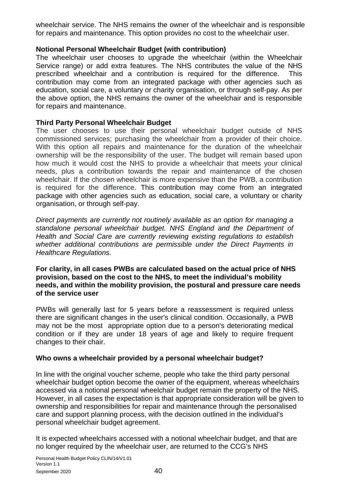wheelchair service. The NHS remains the owner of the wheelchair and is responsible for repairs and maintenance. This option provides no cost to the wheelchair user.

#### **Notional Personal Wheelchair Budget (with contribution)**

The wheelchair user chooses to upgrade the wheelchair (within the Wheelchair Service range) or add extra features. The NHS contributes the value of the NHS prescribed wheelchair and a contribution is required for the difference. This contribution may come from an integrated package with other agencies such as education, social care, a voluntary or charity organisation, or through self-pay. As per the above option, the NHS remains the owner of the wheelchair and is responsible for repairs and maintenance.

#### **Third Party Personal Wheelchair Budget**

The user chooses to use their personal wheelchair budget outside of NHS commissioned services; purchasing the wheelchair from a provider of their choice. With this option all repairs and maintenance for the duration of the wheelchair ownership will be the responsibility of the user. The budget will remain based upon how much it would cost the NHS to provide a wheelchair that meets your clinical needs, plus a contribution towards the repair and maintenance of the chosen wheelchair. If the chosen wheelchair is more expensive than the PWB, a contribution is required for the difference. This contribution may come from an integrated package with other agencies such as education, social care, a voluntary or charity organisation, or through self-pay.

*Direct payments are currently not routinely available as an option for managing a standalone personal wheelchair budget. NHS England and the Department of Health and Social Care are currently reviewing existing regulations to establish whether additional contributions are permissible under the Direct Payments in Healthcare Regulations.* 

**For clarity, in all cases PWBs are calculated based on the actual price of NHS provision, based on the cost to the NHS, to meet the individual's mobility needs, and within the mobility provision, the postural and pressure care needs of the service user**

PWBs will generally last for 5 years before a reassessment is required unless there are significant changes in the user's clinical condition. Occasionally, a PWB may not be the most appropriate option due to a person's deteriorating medical condition or if they are under 18 years of age and likely to require frequent changes to their chair.

#### **Who owns a wheelchair provided by a personal wheelchair budget?**

In line with the original voucher scheme, people who take the third party personal wheelchair budget option become the owner of the equipment, whereas wheelchairs accessed via a notional personal wheelchair budget remain the property of the NHS. However, in all cases the expectation is that appropriate consideration will be given to ownership and responsibilities for repair and maintenance through the personalised care and support planning process, with the decision outlined in the individual's personal wheelchair budget agreement.

It is expected wheelchairs accessed with a notional wheelchair budget, and that are no longer required by the wheelchair user, are returned to the CCG's NHS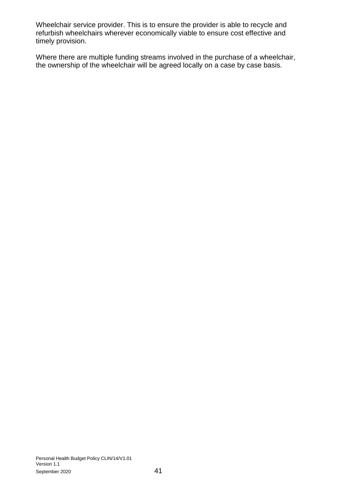Wheelchair service provider. This is to ensure the provider is able to recycle and refurbish wheelchairs wherever economically viable to ensure cost effective and timely provision.

Where there are multiple funding streams involved in the purchase of a wheelchair, the ownership of the wheelchair will be agreed locally on a case by case basis.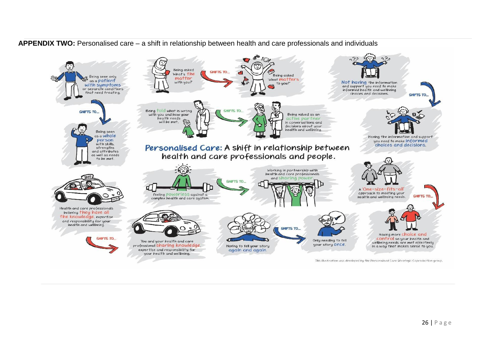<span id="page-41-0"></span>

**APPENDIX TWO:** Personalised care – a shift in relationship between health and care professionals and individuals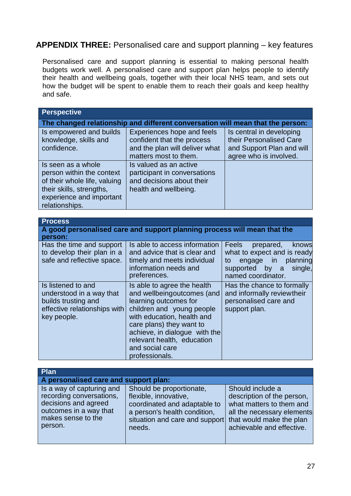# <span id="page-42-0"></span>**APPENDIX THREE:** Personalised care and support planning – key features

Personalised care and support planning is essential to making personal health budgets work well. A personalised care and support plan helps people to identify their health and wellbeing goals, together with their local NHS team, and sets out how the budget will be spent to enable them to reach their goals and keep healthy and safe.

| <b>Perspective</b>                                                                                                                                        |                                                                                                                                                                                                                                                                               |                                                                                                                                                                      |  |  |
|-----------------------------------------------------------------------------------------------------------------------------------------------------------|-------------------------------------------------------------------------------------------------------------------------------------------------------------------------------------------------------------------------------------------------------------------------------|----------------------------------------------------------------------------------------------------------------------------------------------------------------------|--|--|
|                                                                                                                                                           | The changed relationship and different conversation will mean that the person:                                                                                                                                                                                                |                                                                                                                                                                      |  |  |
| Is empowered and builds<br>knowledge, skills and<br>confidence.                                                                                           | <b>Experiences hope and feels</b><br>confident that the process<br>and the plan will deliver what<br>matters most to them.                                                                                                                                                    | Is central in developing<br>their Personalised Care<br>and Support Plan and will<br>agree who is involved.                                                           |  |  |
| Is seen as a whole<br>person within the context<br>of their whole life, valuing<br>their skills, strengths,<br>experience and important<br>relationships. | Is valued as an active<br>participant in conversations<br>and decisions about their<br>health and wellbeing.                                                                                                                                                                  |                                                                                                                                                                      |  |  |
|                                                                                                                                                           |                                                                                                                                                                                                                                                                               |                                                                                                                                                                      |  |  |
| <b>Process</b>                                                                                                                                            |                                                                                                                                                                                                                                                                               |                                                                                                                                                                      |  |  |
| person:                                                                                                                                                   | A good personalised care and support planning process will mean that the                                                                                                                                                                                                      |                                                                                                                                                                      |  |  |
| Has the time and support<br>to develop their plan in a<br>safe and reflective space.                                                                      | Is able to access information<br>and advice that is clear and<br>timely and meets individual<br>information needs and<br>preferences.                                                                                                                                         | <b>Feels</b><br>knows<br>prepared,<br>what to expect and is ready<br>planning<br>engage<br>to<br>in<br>supported by<br>single,<br>$\mathsf{a}$<br>named coordinator. |  |  |
| Is listened to and<br>understood in a way that<br>builds trusting and<br>effective relationships with<br>key people.                                      | Is able to agree the health<br>and wellbeingoutcomes (and<br>learning outcomes for<br>children and young people<br>with education, health and<br>care plans) they want to<br>achieve, in dialogue with the<br>relevant health, education<br>and social care<br>professionals. | Has the chance to formally<br>and informally reviewtheir<br>personalised care and<br>support plan.                                                                   |  |  |

| <b>Plan</b>                                                                                                                              |                                                                                                                                                                                        |                                                                                                                                       |  |
|------------------------------------------------------------------------------------------------------------------------------------------|----------------------------------------------------------------------------------------------------------------------------------------------------------------------------------------|---------------------------------------------------------------------------------------------------------------------------------------|--|
| A personalised care and support plan:                                                                                                    |                                                                                                                                                                                        |                                                                                                                                       |  |
| Is a way of capturing and<br>recording conversations,<br>decisions and agreed<br>outcomes in a way that<br>makes sense to the<br>person. | Should be proportionate,<br>flexible, innovative,<br>coordinated and adaptable to<br>a person's health condition,<br>situation and care and support that would make the plan<br>needs. | Should include a<br>description of the person,<br>what matters to them and<br>all the necessary elements<br>achievable and effective. |  |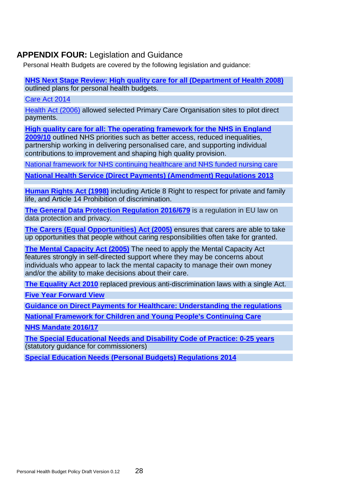### <span id="page-43-0"></span>**APPENDIX FOUR:** Legislation and Guidance

Personal Health Budgets are covered by the following legislation and guidance:

**[NHS Next Stage Review: High quality care for all \(Department of Health 2008\)](https://assets.publishing.service.gov.uk/government/uploads/system/uploads/attachment_data/file/228836/7432.pdf)** outlined plans for personal health budgets.

[Care Act 2014](http://www.legislation.gov.uk/ukpga/2014/23/contents)

[Health Act \(2006\)](https://www.legislation.gov.uk/ukpga/2006/41/contents) allowed selected Primary Care Organisation sites to pilot direct payments.

**[High quality care for all: The operating framework for the NHS in England](https://webarchive.nationalarchives.gov.uk/20130104221103/http:/www.dh.gov.uk/prod_consum_dh/groups/dh_digitalassets/@dh/@en/documents/digitalasset/dh_091446.pdf)** 

**[2009/10](https://webarchive.nationalarchives.gov.uk/20130104221103/http:/www.dh.gov.uk/prod_consum_dh/groups/dh_digitalassets/@dh/@en/documents/digitalasset/dh_091446.pdf)** outlined NHS priorities such as better access, reduced inequalities, partnership working in delivering personalised care, and supporting individual contributions to improvement and shaping high quality provision.

[National framework for NHS continuing healthcare and NHS funded nursing care](https://www.gov.uk/government/publications/national-framework-for-nhs-continuing-healthcare-and-nhs-funded-nursing-care)

**[National Health Service \(Direct Payments\) \(Amendment\) Regulations 2013](https://www.legislation.gov.uk/uksi/2013/1617/contents/made)**

**[Human Rights Act \(1998\)](https://www.legislation.gov.uk/ukpga/1998/42/contents)** including Article 8 Right to respect for private and family life, and Article 14 Prohibition of discrimination.

**[The General Data Protection Regulation 2016/679](https://eur-lex.europa.eu/legal-content/EN/TXT/PDF/?uri=CELEX:32016R0679)** is a regulation in EU law on data protection and privacy.

**[The Carers \(Equal Opportunities\) Act \(2005\)](https://www.legislation.gov.uk/ukpga/2004/15/contents)** ensures that carers are able to take up opportunities that people without caring responsibilities often take for granted.

**[The Mental Capacity Act \(2005\)](https://www.legislation.gov.uk/ukpga/2005/9/contents)** The need to apply the Mental Capacity Act features strongly in self-directed support where they may be concerns about individuals who appear to lack the mental capacity to manage their own money and/or the ability to make decisions about their care.

**[The Equality Act 2010](https://www.legislation.gov.uk/ukpga/2010/15/contents)** replaced previous anti-discrimination laws with a single Act.

**[Five Year Forward View](https://www.england.nhs.uk/wp-content/uploads/2014/10/5yfv-web.pdf)**

**[Guidance on Direct Payments for Healthcare: Understanding the regulations](https://www.england.nhs.uk/wp-content/uploads/2017/06/guid-dirct-paymnt.pdf)**

**[National Framework for Children and Young People's Continuing Care](https://assets.publishing.service.gov.uk/government/uploads/system/uploads/attachment_data/file/499611/children_s_continuing_care_Fe_16.pdf)**

**[NHS Mandate 2016/17](https://assets.publishing.service.gov.uk/government/uploads/system/uploads/attachment_data/file/600604/NHSE_Mandate_2016-17.pdf)**

**[The Special Educational Needs and Disability Code of Practice: 0-25 years](https://assets.publishing.service.gov.uk/government/uploads/system/uploads/attachment_data/file/398815/SEND_Code_of_Practice_January_2015.pdf)** (statutory guidance for commissioners)

**[Special Education Needs \(Personal Budgets\) Regulations 2014](https://www.legislation.gov.uk/uksi/2014/1652/contents/made)**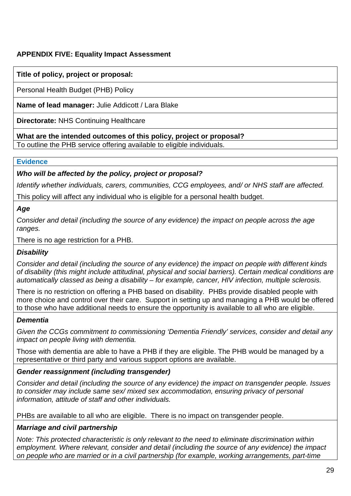### <span id="page-44-0"></span>**APPENDIX FIVE: Equality Impact Assessment**

#### **Title of policy, project or proposal:**

Personal Health Budget (PHB) Policy

**Name of lead manager:** Julie Addicott / Lara Blake

**Directorate:** NHS Continuing Healthcare

#### **What are the intended outcomes of this policy, project or proposal?**

To outline the PHB service offering available to eligible individuals.

#### **Evidence**

#### *Who will be affected by the policy, project or proposal?*

*Identify whether individuals, carers, communities, CCG employees, and/ or NHS staff are affected.*

This policy will affect any individual who is eligible for a personal health budget.

*Age* 

*Consider and detail (including the source of any evidence) the impact on people across the age ranges.*

There is no age restriction for a PHB.

#### *Disability*

*Consider and detail (including the source of any evidence) the impact on people with different kinds of disability (this might include attitudinal, physical and social barriers). Certain medical conditions are automatically classed as being a disability – for example, cancer, HIV infection, multiple sclerosis.*

There is no restriction on offering a PHB based on disability. PHBs provide disabled people with more choice and control over their care. Support in setting up and managing a PHB would be offered to those who have additional needs to ensure the opportunity is available to all who are eligible.

#### *Dementia*

*Given the CCGs commitment to commissioning 'Dementia Friendly' services, consider and detail any impact on people living with dementia.*

Those with dementia are able to have a PHB if they are eligible. The PHB would be managed by a representative or third party and various support options are available.

#### *Gender reassignment (including transgender)*

*Consider and detail (including the source of any evidence) the impact on transgender people. Issues to consider may include same sex/ mixed sex accommodation, ensuring privacy of personal information, attitude of staff and other individuals.* 

PHBs are available to all who are eligible. There is no impact on transgender people.

#### *Marriage and civil partnership*

*Note: This protected characteristic is only relevant to the need to eliminate discrimination within employment. Where relevant, consider and detail (including the source of any evidence) the impact on people who are married or in a civil partnership (for example, working arrangements, part-time*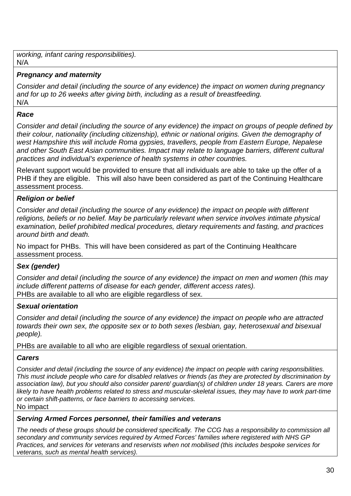*working, infant caring responsibilities).* N/A

### *Pregnancy and maternity*

*Consider and detail (including the source of any evidence) the impact on women during pregnancy and for up to 26 weeks after giving birth, including as a result of breastfeeding.* N/A

#### *Race*

*Consider and detail (including the source of any evidence) the impact on groups of people defined by their colour, nationality (including citizenship), ethnic or national origins. Given the demography of west Hampshire this will include Roma gypsies, travellers, people from Eastern Europe, Nepalese and other South East Asian communities. Impact may relate to language barriers, different cultural practices and individual's experience of health systems in other countries.* 

Relevant support would be provided to ensure that all individuals are able to take up the offer of a PHB if they are eligible. This will also have been considered as part of the Continuing Healthcare assessment process.

### *Religion or belief*

*Consider and detail (including the source of any evidence) the impact on people with different religions, beliefs or no belief. May be particularly relevant when service involves intimate physical examination, belief prohibited medical procedures, dietary requirements and fasting, and practices around birth and death.*

No impact for PHBs. This will have been considered as part of the Continuing Healthcare assessment process.

#### *Sex (gender)*

*Consider and detail (including the source of any evidence) the impact on men and women (this may include different patterns of disease for each gender, different access rates).* PHBs are available to all who are eligible regardless of sex.

#### *Sexual orientation*

*Consider and detail (including the source of any evidence) the impact on people who are attracted towards their own sex, the opposite sex or to both sexes (lesbian, gay, heterosexual and bisexual people).*

PHBs are available to all who are eligible regardless of sexual orientation.

#### *Carers*

*Consider and detail (including the source of any evidence) the impact on people with caring responsibilities. This must include people who care for disabled relatives or friends (as they are protected by discrimination by association law), but you should also consider parent/ guardian(s) of children under 18 years. Carers are more likely to have health problems related to stress and muscular-skeletal issues, they may have to work part-time or certain shift-patterns, or face barriers to accessing services.* No impact

#### *Serving Armed Forces personnel, their families and veterans*

*The needs of these groups should be considered specifically. The CCG has a responsibility to commission all secondary and community services required by Armed Forces' families where registered with NHS GP Practices, and services for veterans and reservists when not mobilised (this includes bespoke services for veterans, such as mental health services).*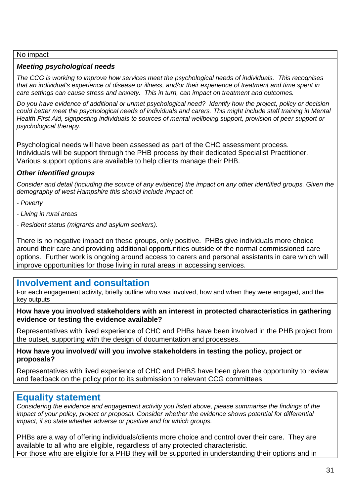#### No impact

#### *Meeting psychological needs*

*The CCG is working to improve how services meet the psychological needs of individuals. This recognises that an individual's experience of disease or illness, and/or their experience of treatment and time spent in care settings can cause stress and anxiety. This in turn, can impact on treatment and outcomes.*

*Do you have evidence of additional or unmet psychological need? Identify how the project, policy or decision could better meet the psychological needs of individuals and carers. This might include staff training in Mental Health First Aid, signposting individuals to sources of mental wellbeing support, provision of peer support or psychological therapy.*

Psychological needs will have been assessed as part of the CHC assessment process. Individuals will be support through the PHB process by their dedicated Specialist Practitioner. Various support options are available to help clients manage their PHB.

#### *Other identified groups*

*Consider and detail (including the source of any evidence) the impact on any other identified groups. Given the demography of west Hampshire this should include impact of:* 

- *- Poverty*
- *- Living in rural areas*
- *- Resident status (migrants and asylum seekers).*

There is no negative impact on these groups, only positive. PHBs give individuals more choice around their care and providing additional opportunities outside of the normal commissioned care options. Further work is ongoing around access to carers and personal assistants in care which will improve opportunities for those living in rural areas in accessing services.

### **Involvement and consultation**

For each engagement activity, briefly outline who was involved, how and when they were engaged, and the key outputs

**How have you involved stakeholders with an interest in protected characteristics in gathering evidence or testing the evidence available?** 

Representatives with lived experience of CHC and PHBs have been involved in the PHB project from the outset, supporting with the design of documentation and processes.

**How have you involved/ will you involve stakeholders in testing the policy, project or proposals?** 

Representatives with lived experience of CHC and PHBS have been given the opportunity to review and feedback on the policy prior to its submission to relevant CCG committees.

### **Equality statement**

*Considering the evidence and engagement activity you listed above, please summarise the findings of the impact of your policy, project or proposal. Consider whether the evidence shows potential for differential impact, if so state whether adverse or positive and for which groups.* 

PHBs are a way of offering individuals/clients more choice and control over their care. They are available to all who are eligible, regardless of any protected characteristic. For those who are eligible for a PHB they will be supported in understanding their options and in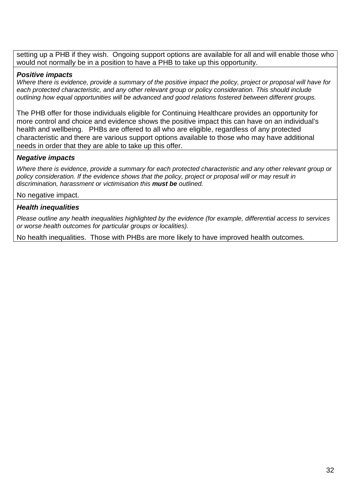setting up a PHB if they wish. Ongoing support options are available for all and will enable those who would not normally be in a position to have a PHB to take up this opportunity.

#### *Positive impacts*

*Where there is evidence, provide a summary of the positive impact the policy, project or proposal will have for each protected characteristic, and any other relevant group or policy consideration. This should include outlining how equal opportunities will be advanced and good relations fostered between different groups.*

The PHB offer for those individuals eligible for Continuing Healthcare provides an opportunity for more control and choice and evidence shows the positive impact this can have on an individual's health and wellbeing. PHBs are offered to all who are eligible, regardless of any protected characteristic and there are various support options available to those who may have additional needs in order that they are able to take up this offer.

#### *Negative impacts*

*Where there is evidence, provide a summary for each protected characteristic and any other relevant group or policy consideration. If the evidence shows that the policy, project or proposal will or may result in discrimination, harassment or victimisation this must be outlined.*

#### No negative impact.

#### *Health inequalities*

*Please outline any health inequalities highlighted by the evidence (for example, differential access to services or worse health outcomes for particular groups or localities).*

No health inequalities. Those with PHBs are more likely to have improved health outcomes.